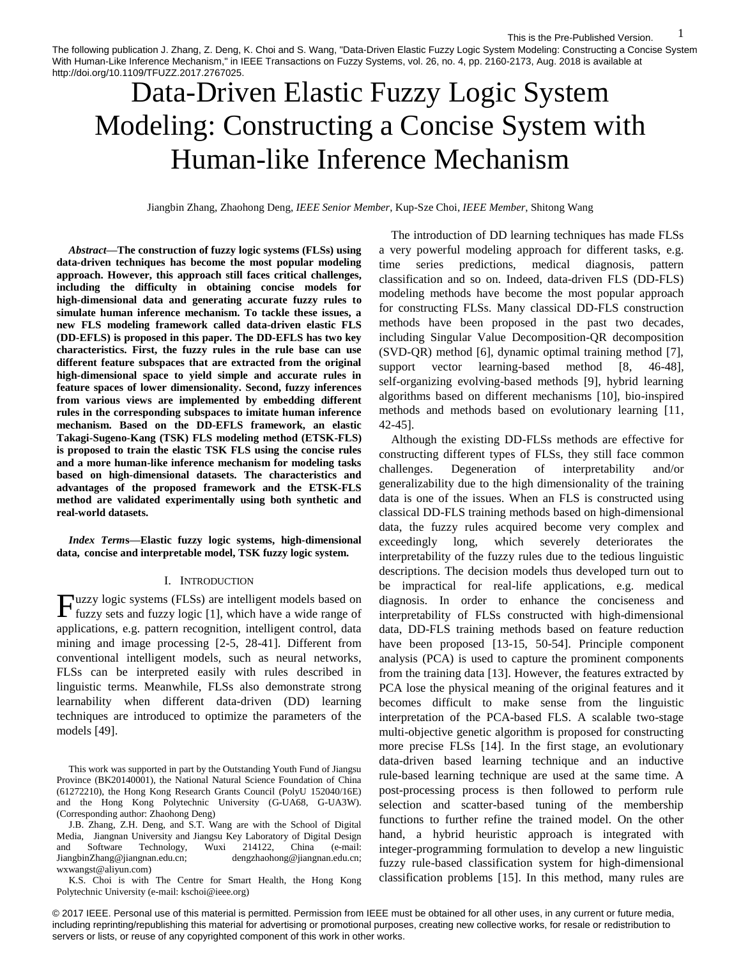The following publication J. Zhang, Z. Deng, K. Choi and S. Wang, "Data-Driven Elastic Fuzzy Logic System Modeling: Constructing a Concise System With Human-Like Inference Mechanism," in IEEE Transactions on Fuzzy Systems, vol. 26, no. 4, pp. 2160-2173, Aug. 2018 is available at http://doi.org/10.1109/TFUZZ.2017.2767025.

# Data-Driven Elastic Fuzzy Logic System Modeling: Constructing a Concise System with Human-like Inference Mechanism

Jiangbin Zhang, Zhaohong Deng, *IEEE Senior Member*, Kup-Sze Choi, *IEEE Member*, Shitong Wang

*Abstract***—The construction of fuzzy logic systems (FLSs) using data-driven techniques has become the most popular modeling approach. However, this approach still faces critical challenges, including the difficulty in obtaining concise models for high-dimensional data and generating accurate fuzzy rules to simulate human inference mechanism. To tackle these issues, a new FLS modeling framework called data-driven elastic FLS (DD-EFLS) is proposed in this paper. The DD-EFLS has two key characteristics. First, the fuzzy rules in the rule base can use different feature subspaces that are extracted from the original high-dimensional space to yield simple and accurate rules in feature spaces of lower dimensionality. Second, fuzzy inferences from various views are implemented by embedding different rules in the corresponding subspaces to imitate human inference mechanism. Based on the DD-EFLS framework, an elastic Takagi-Sugeno-Kang (TSK) FLS modeling method (ETSK-FLS) is proposed to train the elastic TSK FLS using the concise rules and a more human-like inference mechanism for modeling tasks based on high-dimensional datasets. The characteristics and advantages of the proposed framework and the ETSK-FLS method are validated experimentally using both synthetic and real-world datasets.**

*Index Term***s—Elastic fuzzy logic systems, high-dimensional data, concise and interpretable model, TSK fuzzy logic system.**

#### I. INTRODUCTION

uzzy logic systems (FLSs) are intelligent models based on  $\Gamma$ uzzy logic systems (FLSs) are intelligent models based on fuzzy sets and fuzzy logic [1], which have a wide range of applications, e.g. pattern recognition, intelligent control, data mining and image processing [2-5, 28-41]. Different from conventional intelligent models, such as neural networks, FLSs can be interpreted easily with rules described in linguistic terms. Meanwhile, FLSs also demonstrate strong learnability when different data-driven (DD) learning techniques are introduced to optimize the parameters of the models [49].

This work was supported in part by the Outstanding Youth Fund of Jiangsu Province (BK20140001), the National Natural Science Foundation of China (61272210), the Hong Kong Research Grants Council (PolyU 152040/16E) and the Hong Kong Polytechnic University (G-UA68, G-UA3W). (Corresponding author: Zhaohong Deng)

K.S. Choi is with The Centre for Smart Health, the Hong Kong Polytechnic University (e-mail: kschoi@ieee.org)

The introduction of DD learning techniques has made FLSs a very powerful modeling approach for different tasks, e.g. time series predictions, medical diagnosis, pattern classification and so on. Indeed, data-driven FLS (DD-FLS) modeling methods have become the most popular approach for constructing FLSs. Many classical DD-FLS construction methods have been proposed in the past two decades, including Singular Value Decomposition-QR decomposition (SVD-QR) method [6], dynamic optimal training method [7], support vector learning-based method [8, 46-48], self-organizing evolving-based methods [9], hybrid learning algorithms based on different mechanisms [10], bio-inspired methods and methods based on evolutionary learning [11, 42-45].

Although the existing DD-FLSs methods are effective for constructing different types of FLSs, they still face common challenges. Degeneration of interpretability and/or generalizability due to the high dimensionality of the training data is one of the issues. When an FLS is constructed using classical DD-FLS training methods based on high-dimensional data, the fuzzy rules acquired become very complex and exceedingly long, which severely deteriorates the interpretability of the fuzzy rules due to the tedious linguistic descriptions. The decision models thus developed turn out to be impractical for real-life applications, e.g. medical diagnosis. In order to enhance the conciseness and interpretability of FLSs constructed with high-dimensional data, DD-FLS training methods based on feature reduction have been proposed [13-15, 50-54]. Principle component analysis (PCA) is used to capture the prominent components from the training data [13]. However, the features extracted by PCA lose the physical meaning of the original features and it becomes difficult to make sense from the linguistic interpretation of the PCA-based FLS. A scalable two-stage multi-objective genetic algorithm is proposed for constructing more precise FLSs [14]. In the first stage, an evolutionary data-driven based learning technique and an inductive rule-based learning technique are used at the same time. A post-processing process is then followed to perform rule selection and scatter-based tuning of the membership functions to further refine the trained model. On the other hand, a hybrid heuristic approach is integrated with integer-programming formulation to develop a new linguistic fuzzy rule-based classification system for high-dimensional classification problems [15]. In this method, many rules are

© 2017 IEEE. Personal use of this material is permitted. Permission from IEEE must be obtained for all other uses, in any current or future media, including reprinting/republishing this material for advertising or promotional purposes, creating new collective works, for resale or redistribution to servers or lists, or reuse of any copyrighted component of this work in other works.

J.B. Zhang, Z.H. Deng, and S.T. Wang are with the School of Digital Media, Jiangnan University and Jiangsu Key Laboratory of Digital Design and Software Technology, Wuxi 214122, China (e-mail: [JiangbinZhang@jiangnan.edu.cn;](mailto:JiangbinZhang@jiangnan.edu.cn) [dengzhaohong@jiangnan.edu.cn;](mailto:dengzhaohong@jiangnan.edu.cn)  [wxwangst@a](mailto:wxwangst@yahoo.com.cn)liyun.com)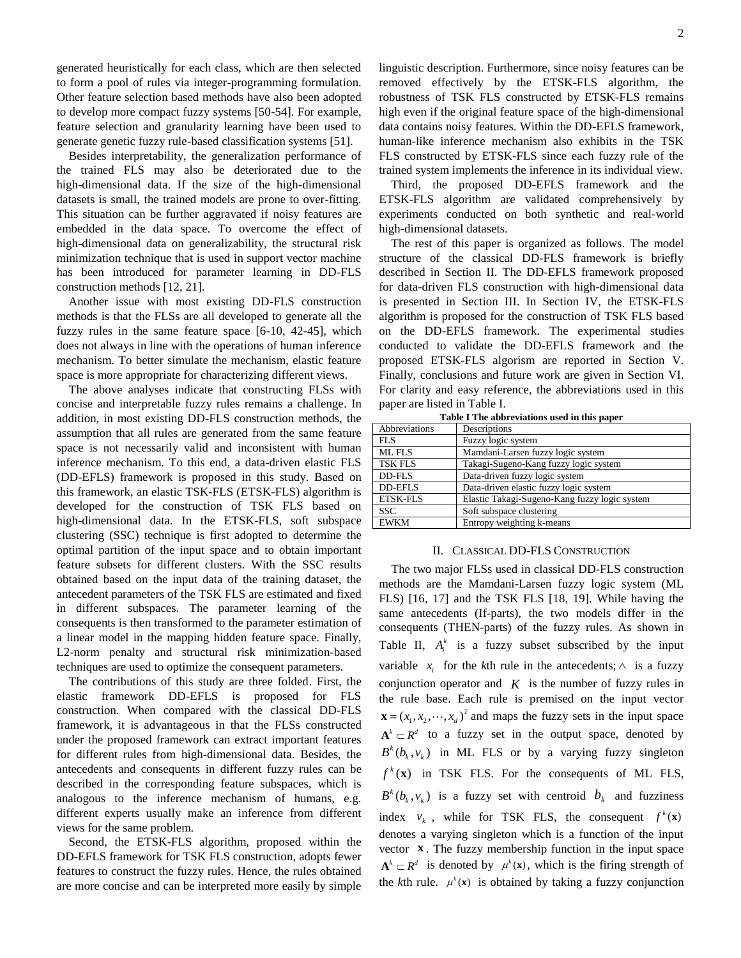generated heuristically for each class, which are then selected to form a pool of rules via integer-programming formulation. Other feature selection based methods have also been adopted to develop more compact fuzzy systems [50-54]. For example, feature selection and granularity learning have been used to generate genetic fuzzy rule-based classification systems [51].

Besides interpretability, the generalization performance of the trained FLS may also be deteriorated due to the high-dimensional data. If the size of the high-dimensional datasets is small, the trained models are prone to over-fitting. This situation can be further aggravated if noisy features are embedded in the data space. To overcome the effect of high-dimensional data on generalizability, the structural risk minimization technique that is used in support vector machine has been introduced for parameter learning in DD-FLS construction methods [12, 21].

Another issue with most existing DD-FLS construction methods is that the FLSs are all developed to generate all the fuzzy rules in the same feature space [6-10, 42-45], which does not always in line with the operations of human inference mechanism. To better simulate the mechanism, elastic feature space is more appropriate for characterizing different views.

The above analyses indicate that constructing FLSs with concise and interpretable fuzzy rules remains a challenge. In addition, in most existing DD-FLS construction methods, the assumption that all rules are generated from the same feature space is not necessarily valid and inconsistent with human inference mechanism. To this end, a data-driven elastic FLS (DD-EFLS) framework is proposed in this study. Based on this framework, an elastic TSK-FLS (ETSK-FLS) algorithm is developed for the construction of TSK FLS based on high-dimensional data. In the ETSK-FLS, soft subspace clustering (SSC) technique is first adopted to determine the optimal partition of the input space and to obtain important feature subsets for different clusters. With the SSC results obtained based on the input data of the training dataset, the antecedent parameters of the TSK FLS are estimated and fixed in different subspaces. The parameter learning of the consequents is then transformed to the parameter estimation of a linear model in the mapping hidden feature space. Finally, L2-norm penalty and structural risk minimization-based techniques are used to optimize the consequent parameters.

The contributions of this study are three folded. First, the elastic framework DD-EFLS is proposed for FLS construction. When compared with the classical DD-FLS framework, it is advantageous in that the FLSs constructed under the proposed framework can extract important features for different rules from high-dimensional data. Besides, the antecedents and consequents in different fuzzy rules can be described in the corresponding feature subspaces, which is analogous to the inference mechanism of humans, e.g. different experts usually make an inference from different views for the same problem.

Second, the ETSK-FLS algorithm, proposed within the DD-EFLS framework for TSK FLS construction, adopts fewer features to construct the fuzzy rules. Hence, the rules obtained are more concise and can be interpreted more easily by simple linguistic description. Furthermore, since noisy features can be removed effectively by the ETSK-FLS algorithm, the robustness of TSK FLS constructed by ETSK-FLS remains high even if the original feature space of the high-dimensional data contains noisy features. Within the DD-EFLS framework, human-like inference mechanism also exhibits in the TSK FLS constructed by ETSK-FLS since each fuzzy rule of the trained system implements the inference in its individual view.

Third, the proposed DD-EFLS framework and the ETSK-FLS algorithm are validated comprehensively by experiments conducted on both synthetic and real-world high-dimensional datasets.

The rest of this paper is organized as follows. The model structure of the classical DD-FLS framework is briefly described in Section II. The DD-EFLS framework proposed for data-driven FLS construction with high-dimensional data is presented in Section III. In Section IV, the ETSK-FLS algorithm is proposed for the construction of TSK FLS based on the DD-EFLS framework. The experimental studies conducted to validate the DD-EFLS framework and the proposed ETSK-FLS algorism are reported in Section V. Finally, conclusions and future work are given in Section VI. For clarity and easy reference, the abbreviations used in this paper are listed in Table I.

| Tuble 1 The upple (human uped in this puper |                                               |  |  |  |
|---------------------------------------------|-----------------------------------------------|--|--|--|
| Abbreviations                               | Descriptions                                  |  |  |  |
| <b>FLS</b>                                  | Fuzzy logic system                            |  |  |  |
| <b>MLFLS</b>                                | Mamdani-Larsen fuzzy logic system             |  |  |  |
| <b>TSK FLS</b>                              | Takagi-Sugeno-Kang fuzzy logic system         |  |  |  |
| <b>DD-FLS</b>                               | Data-driven fuzzy logic system                |  |  |  |
| <b>DD-EFLS</b>                              | Data-driven elastic fuzzy logic system        |  |  |  |
| <b>ETSK-FLS</b>                             | Elastic Takagi-Sugeno-Kang fuzzy logic system |  |  |  |
| <b>SSC</b>                                  | Soft subspace clustering                      |  |  |  |
| <b>EWKM</b>                                 | Entropy weighting k-means                     |  |  |  |

#### **Table I The abbreviations used in this paper**

#### II. CLASSICAL DD-FLS CONSTRUCTION

The two major FLSs used in classical DD-FLS construction methods are the Mamdani-Larsen fuzzy logic system (ML FLS) [16, 17] and the TSK FLS [18, 19]. While having the same antecedents (If-parts), the two models differ in the consequents (THEN-parts) of the fuzzy rules. As shown in Table II,  $A_i^k$  is a fuzzy subset subscribed by the input variable  $x_i$  for the *k*th rule in the antecedents;  $\wedge$  is a fuzzy conjunction operator and  $K$  is the number of fuzzy rules in the rule base. Each rule is premised on the input vector  $\mathbf{x} = (x_1, x_2, \dots, x_d)^T$  and maps the fuzzy sets in the input space  $A^k \subset R^d$  to a fuzzy set in the output space, denoted by  $B^k(b_k, v_k)$  in ML FLS or by a varying fuzzy singleton  $f^{k}(\mathbf{x})$  in TSK FLS. For the consequents of ML FLS,  $B^k(b_k, v_k)$  is a fuzzy set with centroid  $b_k$  and fuzziness index  $v_k$ , while for TSK FLS, the consequent  $f^k(x)$ denotes a varying singleton which is a function of the input vector **x** . The fuzzy membership function in the input space  $A^k \subset R^d$  is denoted by  $\mu^k(x)$ , which is the firing strength of the *k*th rule.  $\mu^k(x)$  is obtained by taking a fuzzy conjunction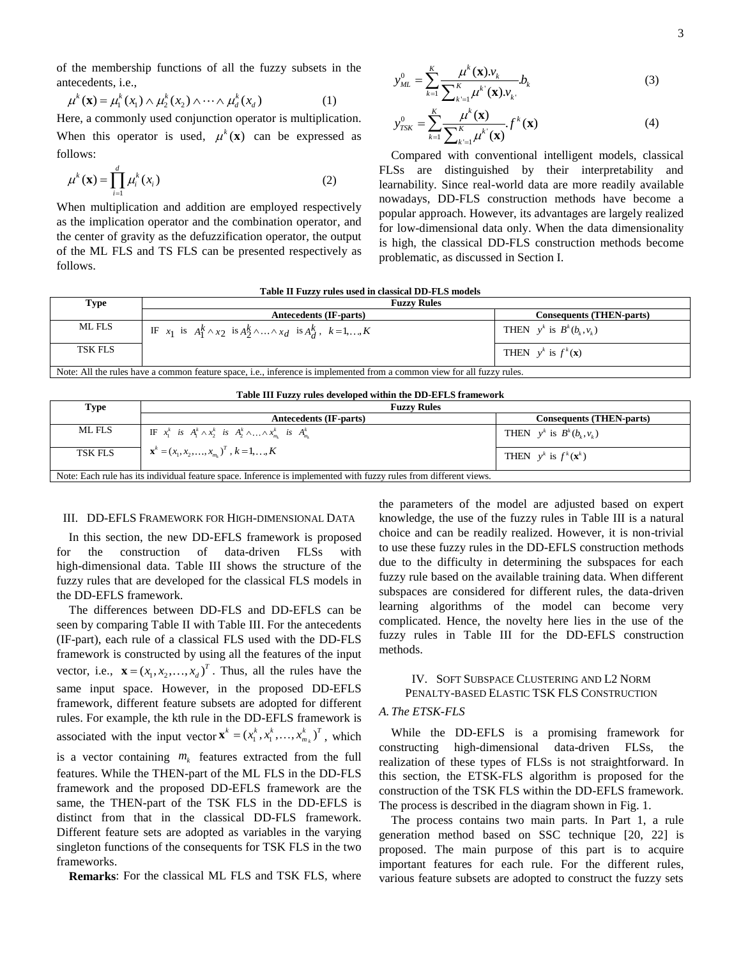of the membership functions of all the fuzzy subsets in the antecedents, i.e.,

ntecedents, i.e.,  
\n
$$
\mu^{k}(\mathbf{x}) = \mu_1^{k}(x_1) \wedge \mu_2^{k}(x_2) \wedge \dots \wedge \mu_d^{k}(x_d)
$$
\n(1)

Here, a commonly used conjunction operator is multiplication. When this operator is used,  $\mu^k(\mathbf{x})$  can be expressed as follows:

$$
\mu^{k}(\mathbf{x}) = \prod_{i=1}^{d} \mu_{i}^{k}(x_{i})
$$
\n(2)

When multiplication and addition are employed respectively as the implication operator and the combination operator, and the center of gravity as the defuzzification operator, the output of the ML FLS and TS FLS can be presented respectively as follows.

$$
y_{ML}^0 = \sum_{k=1}^K \frac{\mu^k(\mathbf{x}) \cdot v_k}{\sum_{k=1}^K \mu^k(\mathbf{x}) \cdot v_k} b_k \tag{3}
$$

$$
y_{TSK}^0 = \sum_{k=1}^K \frac{\mu^k(\mathbf{x})}{\sum_{k'=1}^K \mu^k(\mathbf{x})} f^k(\mathbf{x})
$$
(4)

Compared with conventional intelligent models, classical FLSs are distinguished by their interpretability and learnability. Since real-world data are more readily available nowadays, DD-FLS construction methods have become a popular approach. However, its advantages are largely realized for low-dimensional data only. When the data dimensionality is high, the classical DD-FLS construction methods become problematic, as discussed in Section I.

| Table II Fuzzy rules used in classical DD-FLS models |  |
|------------------------------------------------------|--|
|------------------------------------------------------|--|

| <b>Type</b>                                                                                                             | <b>Fuzzy Rules</b>                                                                             |                                        |  |  |  |  |
|-------------------------------------------------------------------------------------------------------------------------|------------------------------------------------------------------------------------------------|----------------------------------------|--|--|--|--|
|                                                                                                                         | Antecedents (IF-parts)                                                                         | <b>Consequents (THEN-parts)</b>        |  |  |  |  |
| ML FLS                                                                                                                  | IF $x_1$ is $A_1^k \wedge x_2$ is $A_2^k \wedge \ldots \wedge x_d$ is $A_d^k$ , $k=1,\ldots,K$ | THEN $y^k$ is $B^k(b_\nu, v_\nu)$      |  |  |  |  |
| TSK FLS                                                                                                                 |                                                                                                | <b>THEN</b> $y^k$ is $f^k(\mathbf{x})$ |  |  |  |  |
| Note: All the rules have a common feature space, i.e., inference is implemented from a common view for all fuzzy rules. |                                                                                                |                                        |  |  |  |  |

| Table III Fuzzy rules developed within the DD-EFLS framework                                                      |                                                                                   |                                   |  |  |  |  |
|-------------------------------------------------------------------------------------------------------------------|-----------------------------------------------------------------------------------|-----------------------------------|--|--|--|--|
| <b>Type</b>                                                                                                       | <b>Fuzzy Rules</b>                                                                |                                   |  |  |  |  |
|                                                                                                                   | <b>Antecedents (IF-parts)</b>                                                     | <b>Consequents (THEN-parts)</b>   |  |  |  |  |
| ML FLS                                                                                                            | IF $x_1^k$ is $A_1^k \wedge x_2^k$ is $A_2^k \wedge  \wedge x_{m}^k$ is $A_{m}^k$ | THEN $y^k$ is $B^k(b_k, v_k)$     |  |  |  |  |
| TSK FLS                                                                                                           | $\mathbf{x}^{k} = (x_1, x_2, \dots, x_{m_k})^{T}$ , $k = 1, \dots, K$             | THEN $y^k$ is $f^k(\mathbf{x}^k)$ |  |  |  |  |
| Note: Each rule has its individual feature space. Inference is implemented with fuzzy rules from different views. |                                                                                   |                                   |  |  |  |  |

## III. DD-EFLS FRAMEWORK FOR HIGH-DIMENSIONAL DATA

In this section, the new DD-EFLS framework is proposed for the construction of data-driven FLSs with high-dimensional data. Table III shows the structure of the fuzzy rules that are developed for the classical FLS models in the DD-EFLS framework.

The differences between DD-FLS and DD-EFLS can be seen by comparing Table II with Table III. For the antecedents (IF-part), each rule of a classical FLS used with the DD-FLS framework is constructed by using all the features of the input vector, i.e.,  $\mathbf{x} = (x_1, x_2, \dots, x_d)^T$ . Thus, all the rules have the same input space. However, in the proposed DD-EFLS framework, different feature subsets are adopted for different rules. For example, the kth rule in the DD-EFLS framework is associated with the input vector  $\mathbf{x}^k = (x_1^k, x_1^k, \dots, x_{m_k}^k)^T$ , which

is a vector containing  $m_k$  features extracted from the full features. While the THEN-part of the ML FLS in the DD-FLS framework and the proposed DD-EFLS framework are the same, the THEN-part of the TSK FLS in the DD-EFLS is distinct from that in the classical DD-FLS framework. Different feature sets are adopted as variables in the varying singleton functions of the consequents for TSK FLS in the two frameworks.

**Remarks**: For the classical ML FLS and TSK FLS, where

the parameters of the model are adjusted based on expert knowledge, the use of the fuzzy rules in Table III is a natural choice and can be readily realized. However, it is non-trivial to use these fuzzy rules in the DD-EFLS construction methods due to the difficulty in determining the subspaces for each fuzzy rule based on the available training data. When different subspaces are considered for different rules, the data-driven learning algorithms of the model can become very complicated. Hence, the novelty here lies in the use of the fuzzy rules in Table III for the DD-EFLS construction methods.

## IV. SOFT SUBSPACE CLUSTERING AND L2 NORM PENALTY-BASED ELASTIC TSK FLS CONSTRUCTION

## *A. The ETSK-FLS*

While the DD-EFLS is a promising framework for constructing high-dimensional data-driven FLSs, the realization of these types of FLSs is not straightforward. In this section, the ETSK-FLS algorithm is proposed for the construction of the TSK FLS within the DD-EFLS framework. The process is described in the diagram shown in Fig. 1.

The process contains two main parts. In Part 1, a rule generation method based on SSC technique [20, 22] is proposed. The main purpose of this part is to acquire important features for each rule. For the different rules, various feature subsets are adopted to construct the fuzzy sets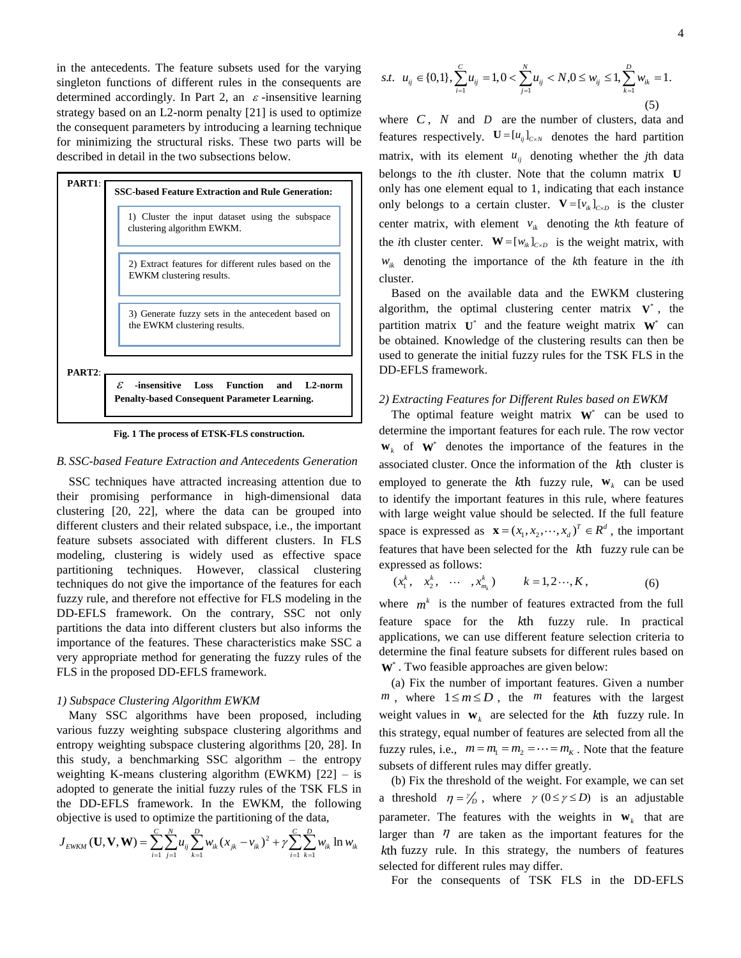in the antecedents. The feature subsets used for the varying singleton functions of different rules in the consequents are determined accordingly. In Part 2, an  $\varepsilon$ -insensitive learning strategy based on an L2-norm penalty [21] is used to optimize the consequent parameters by introducing a learning technique for minimizing the structural risks. These two parts will be described in detail in the two subsections below.



**Fig. 1 The process of ETSK-FLS construction.**

#### *B. SSC-based Feature Extraction and Antecedents Generation*

SSC techniques have attracted increasing attention due to their promising performance in high-dimensional data clustering [20, 22], where the data can be grouped into different clusters and their related subspace, i.e., the important feature subsets associated with different clusters. In FLS modeling, clustering is widely used as effective space partitioning techniques. However, classical clustering techniques do not give the importance of the features for each fuzzy rule, and therefore not effective for FLS modeling in the DD-EFLS framework. On the contrary, SSC not only partitions the data into different clusters but also informs the importance of the features. These characteristics make SSC a very appropriate method for generating the fuzzy rules of the FLS in the proposed DD-EFLS framework.

## *1) Subspace Clustering Algorithm EWKM*

Many SSC algorithms have been proposed, including various fuzzy weighting subspace clustering algorithms and entropy weighting subspace clustering algorithms [20, 28]. In this study, a benchmarking SSC algorithm – the entropy weighting K-means clustering algorithm (EWKM)  $[22]$  – is adopted to generate the initial fuzzy rules of the TSK FLS in

the DD-EFLS framework. In the EWKM, the following objective is used to optimize the partitioning of the data,  

$$
J_{EWKM}(\mathbf{U}, \mathbf{V}, \mathbf{W}) = \sum_{i=1}^{C} \sum_{j=1}^{N} u_{ij} \sum_{k=1}^{D} w_{ik} (x_{jk} - v_{ik})^2 + \gamma \sum_{i=1}^{C} \sum_{k=1}^{D} w_{ik} \ln w_{ik}
$$

$$
s.t. \t u_{ij} \in \{0,1\}, \sum_{i=1}^{C} u_{ij} = 1, 0 < \sum_{j=1}^{N} u_{ij} < N, 0 \le w_{ij} \le 1, \sum_{k=1}^{D} w_{ik} = 1. \tag{5}
$$

where  $C$ ,  $N$  and  $D$  are the number of clusters, data and features respectively.  $U = [u_{ij}]_{c \times N}$  denotes the hard partition matrix, with its element  $u_{ij}$  denoting whether the *j*th data belongs to the *i*th cluster. Note that the column matrix **U** only has one element equal to 1, indicating that each instance only belongs to a certain cluster.  $V = [v_{ik}]_{C \times D}$  is the cluster center matrix, with element  $v_{ik}$  denoting the *k*th feature of the *i*th cluster center.  $\mathbf{W} = [w_{ik}]_{c \times D}$  is the weight matrix, with *wik* denoting the importance of the *k*th feature in the *i*th cluster.

Based on the available data and the EWKM clustering algorithm, the optimal clustering center matrix  $V^*$ , the partition matrix  $U^*$  and the feature weight matrix  $W^*$  can be obtained. Knowledge of the clustering results can then be used to generate the initial fuzzy rules for the TSK FLS in the DD-EFLS framework.

## *2) Extracting Features for Different Rules based on EWKM*

The optimal feature weight matrix  $W^*$  can be used to determine the important features for each rule. The row vector  $\mathbf{w}_k$  of  $\mathbf{W}^*$  denotes the importance of the features in the associated cluster. Once the information of the *k*th cluster is employed to generate the  $k$ th fuzzy rule,  $w_k$  can be used to identify the important features in this rule, where features with large weight value should be selected. If the full feature space is expressed as  $\mathbf{x} = (x_1, x_2, \dots, x_d)^T \in \mathbb{R}^d$ , the important features that have been selected for the *k*th fuzzy rule can be

expressed as follows:  
\n
$$
(x_1^k, x_2^k, \cdots, x_{m_k}^k)
$$
  $k = 1, 2 \cdots, K,$  (6)

where  $m^k$  is the number of features extracted from the full feature space for the *k*th fuzzy rule. In practical applications, we can use different feature selection criteria to determine the final feature subsets for different rules based on **W**\* . Two feasible approaches are given below:

(a) Fix the number of important features. Given a number  $m$ , where  $1 \le m \le D$ , the  $m$  features with the largest weight values in  $W_k$  are selected for the  $k$ th fuzzy rule. In this strategy, equal number of features are selected from all the fuzzy rules, i.e.,  $m = m_1 = m_2 = \cdots = m_K$ . Note that the feature subsets of different rules may differ greatly.

(b) Fix the threshold of the weight. For example, we can set a threshold  $\eta = \frac{\gamma}{D}$ , where  $\gamma$  ( $0 \le \gamma \le D$ ) is an adjustable parameter. The features with the weights in  $w_k$  that are larger than  $\eta$  are taken as the important features for the *k*th fuzzy rule. In this strategy, the numbers of features selected for different rules may differ.

For the consequents of TSK FLS in the DD-EFLS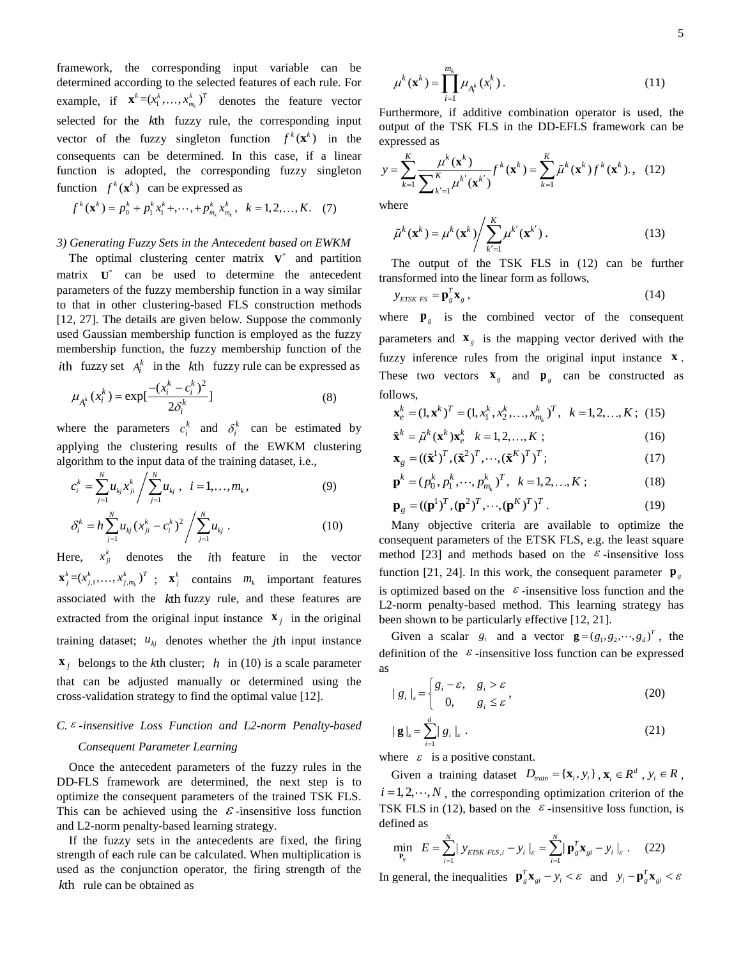framework, the corresponding input variable can be determined according to the selected features of each rule. For example, if  $\mathbf{x}^k = (x_1^k, \dots, x_{m_k}^k)^T$  denotes the feature vector selected for the *k*th fuzzy rule, the corresponding input vector of the fuzzy singleton function  $f^k(\mathbf{x}^k)$  in the consequents can be determined. In this case, if a linear function is adopted, the corresponding fuzzy singleton

function 
$$
f^k(\mathbf{x}^k)
$$
 can be expressed as  

$$
f^k(\mathbf{x}^k) = p_0^k + p_1^k x_1^k + \dots + p_{m_k}^k x_{m_k}^k, \quad k = 1, 2, \dots, K. \quad (7)
$$

## *3) Generating Fuzzy Sets in the Antecedent based on EWKM*

The optimal clustering center matrix  $V^*$  and partition matrix  $U^*$  can be used to determine the antecedent parameters of the fuzzy membership function in a way similar to that in other clustering-based FLS construction methods [12, 27]. The details are given below. Suppose the commonly used Gaussian membership function is employed as the fuzzy membership function, the fuzzy membership function of the *i*th fuzzy set  $A_i^k$  in the  $k$ th fuzzy rule can be expressed as

$$
\mu_{A_i^k}(x_i^k) = \exp[\frac{-(x_i^k - c_i^k)^2}{2\delta_i^k}]
$$
\n(8)

where the parameters  $c_i^k$  and  $\delta_i^k$  can be estimated by applying the clustering results of the EWKM clustering algorithm to the input data of the training dataset, i.e.,

$$
c_i^k = \sum_{j=1}^N u_{kj} x_{ji}^k / \sum_{j=1}^N u_{kj}, \quad i = 1, ..., m_k,
$$
  
\n
$$
\delta_i^k = h \sum_{j=1}^N u_{kj} (x_{ji}^k - c_i^k)^2 / \sum_{j=1}^N u_{kj}.
$$
\n(10)

 $\frac{1}{1}$   $\frac{1}{1}$   $\frac{1}{1}$   $\frac{1}{1}$   $\frac{1}{1}$ Here,  $x_{ji}^k$  denotes the *i*th feature in the vector  $\mathbf{x}_j^k = (x_{j,1}^k, \dots, x_{j,m_k}^k)^T$ ;  $\mathbf{x}_j^k$  contains  $m_k$  important features associated with the *k*th fuzzy rule, and these features are extracted from the original input instance  $\mathbf{x}_j$  in the original training dataset;  $u_{kj}$  denotes whether the *j*th input instance  $\mathbf{x}_j$  belongs to the *k*th cluster; *h* in (10) is a scale parameter that can be adjusted manually or determined using the cross-validation strategy to find the optimal value [12].

## *C. -insensitive Loss Function and L2-norm Penalty-based Consequent Parameter Learning*

Once the antecedent parameters of the fuzzy rules in the DD-FLS framework are determined, the next step is to optimize the consequent parameters of the trained TSK FLS. This can be achieved using the  $\epsilon$ -insensitive loss function and L2-norm penalty-based learning strategy.

If the fuzzy sets in the antecedents are fixed, the firing strength of each rule can be calculated. When multiplication is used as the conjunction operator, the firing strength of the *k*th rule can be obtained as

$$
\mu^k(\mathbf{x}^k) = \prod_{i=1}^{m_k} \mu_{A_i^k}(x_i^k).
$$
 (11)

Furthermore, if additive combination operator is used, the expressed as

output of the TSK FLS in the DD-EFLS framework can be expressed as\n
$$
y = \sum_{k=1}^{K} \frac{\mu^{k}(\mathbf{x}^{k})}{\sum_{k'=1}^{K} \mu^{k'}(\mathbf{x}^{k'})} f^{k}(\mathbf{x}^{k}) = \sum_{k=1}^{K} \tilde{\mu}^{k}(\mathbf{x}^{k}) f^{k}(\mathbf{x}^{k}), \quad (12)
$$

where

$$
\tilde{\mu}^k(\mathbf{x}^k) = \mu^k(\mathbf{x}^k) / \sum_{k'=1}^K \mu^{k'}(\mathbf{x}^{k'}).
$$
\n(13)

The output of the TSK FLS in (12) can be further transformed into the linear form as follows,

$$
y_{ETSKFS} = \mathbf{p}_s^T \mathbf{x}_s,
$$
 (14)

where  $\mathbf{p}_g$  is the combined vector of the consequent parameters and  $\mathbf{x}_g$  is the mapping vector derived with the fuzzy inference rules from the original input instance **x** . These two vectors  $\mathbf{x}_g$  and  $\mathbf{p}_g$  can be constructed as follows,

lows,  

$$
\mathbf{x}_{e}^{k} = (1, \mathbf{x}^{k})^{T} = (1, x_{1}^{k}, x_{2}^{k}, ..., x_{m_{k}}^{k})^{T}, \quad k = 1, 2, ..., K; \quad (15)
$$

$$
\tilde{\mathbf{x}}^{k} = \tilde{\mu}^{k}(\mathbf{x}^{k})\mathbf{x}_{e}^{k} \quad k = 1, 2, ..., K \tag{16}
$$

$$
\mathbf{x}_g = ((\tilde{\mathbf{x}}^1)^T, (\tilde{\mathbf{x}}^2)^T, \cdots, (\tilde{\mathbf{x}}^K)^T)^T;
$$
\n(17)

$$
\mathbf{p}^{k} = (p_0^k, p_1^k, \cdots, p_{m_k}^k)^T, \quad k = 1, 2, \dots, K \tag{18}
$$

$$
\mathbf{p}_g = ((\mathbf{p}^1)^T, (\mathbf{p}^2)^T, \cdots, (\mathbf{p}^K)^T)^T.
$$
 (19)

Many objective criteria are available to optimize the consequent parameters of the ETSK FLS, e.g. the least square method [23] and methods based on the  $\varepsilon$ -insensitive loss function [21, 24]. In this work, the consequent parameter  $\mathbf{p}_g$ is optimized based on the  $\varepsilon$ -insensitive loss function and the L2-norm penalty-based method. This learning strategy has been shown to be particularly effective [12, 21].

Given a scalar  $g_i$  and a vector  $\mathbf{g} = (g_1, g_2, \dots, g_d)^T$ , the definition of the  $\varepsilon$ -insensitive loss function can be expressed as

$$
|g_i|_{\varepsilon} = \begin{cases} g_i - \varepsilon, & g_i > \varepsilon \\ 0, & g_i \le \varepsilon \end{cases}
$$
 (20)

$$
|\mathbf{g}|_{\varepsilon} = \sum_{i=1}^{d} |g_{i}|_{\varepsilon} . \tag{21}
$$

where  $\varepsilon$  is a positive constant.

Given a training dataset  $D_{train} = {\mathbf{x}_i, y_i}$ ,  $\mathbf{x}_i \in R^d$ ,  $y_i \in R$ ,  $i = 1, 2, \dots, N$ , the corresponding optimization criterion of the TSK FLS in (12), based on the  $\varepsilon$ -insensitive loss function, is defined as

$$
\text{find as} \\
 \min_{\mathbf{P}_g} \ E = \sum_{i=1}^N | y_{ETSK-FLS,i} - y_i |_{\varepsilon} = \sum_{i=1}^N | \mathbf{p}_g^T \mathbf{x}_{gi} - y_i |_{\varepsilon} \,. \tag{22}
$$

In general, the inequalities  $\mathbf{p}_s^T \mathbf{x}_{si} - y_i < \varepsilon$  and  $y_i - \mathbf{p}_s^T \mathbf{x}_{si} < \varepsilon$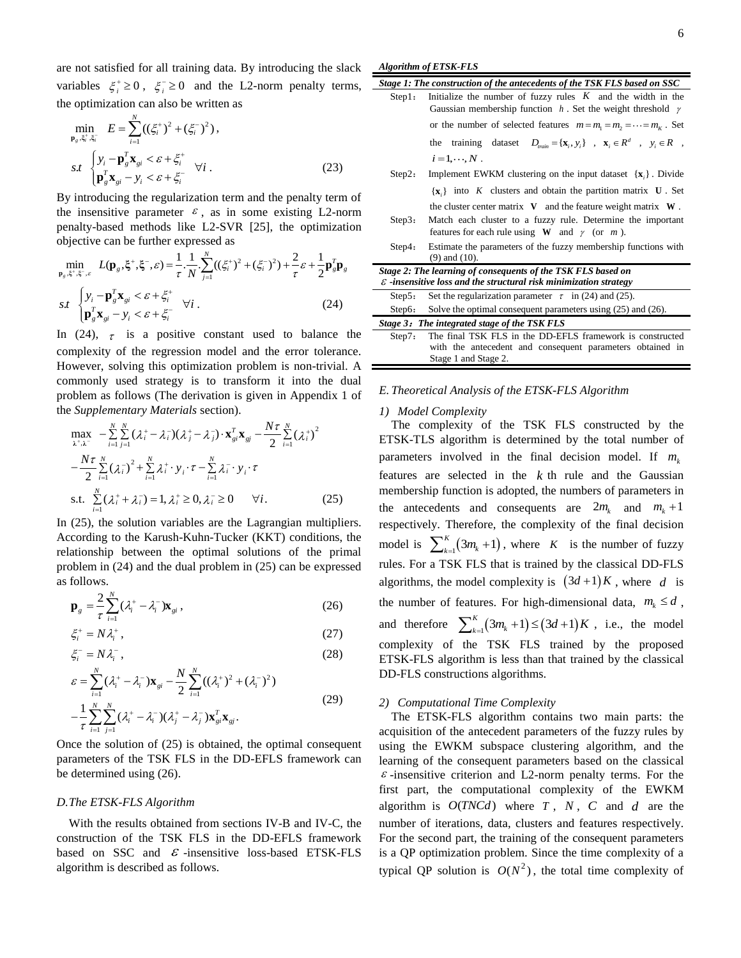are not satisfied for all training data. By introducing the slack variables  $\xi_i^* \ge 0$ ,  $\xi_i^- \ge 0$  and the L2-norm penalty terms, the optimization can also be written as

$$
\min_{\mathbf{p}_g, \xi_i^*, \xi_i^-} E = \sum_{i=1}^N ((\xi_i^+)^2 + (\xi_i^-)^2),
$$
\n
$$
s.t. \begin{cases} y_i - \mathbf{p}_g^T \mathbf{x}_{gi} < \varepsilon + \xi_i^+ \\ \mathbf{p}_g^T \mathbf{x}_{gi} - y_i < \varepsilon + \xi_i^- \end{cases} \forall i.
$$
\n
$$
(23)
$$

By introducing the regularization term and the penalty term of the insensitive parameter  $\varepsilon$ , as in some existing L2-norm penalty-based methods like L2-SVR [25], the optimization

$$
\begin{aligned}\n\text{Divergence} & \text{In the image:} \\
\text{subjective can be further expressed as} \\
\min_{\mathbf{P}_g, \xi^+, \xi^-, \varepsilon} L(\mathbf{P}_g, \xi^+, \xi^-, \varepsilon) &= \frac{1}{\tau} \cdot \frac{1}{N} \cdot \sum_{j=1}^N ((\xi_i^+)^2 + (\xi_i^-)^2) + \frac{2}{\tau} \varepsilon + \frac{1}{2} \mathbf{P}_g^T \mathbf{P}_g \\
\text{s.t } \begin{cases}\n\mathbf{y}_i - \mathbf{P}_g^T \mathbf{x}_{gi} < \varepsilon + \xi_i^+ \\
\mathbf{P}_g^T \mathbf{x}_{gi} - \mathbf{y}_i < \varepsilon + \xi_i^- \\
\end{cases}\n\end{aligned}\n\quad (24)
$$

In (24),  $\tau$  is a positive constant used to balance the complexity of the regression model and the error tolerance. However, solving this optimization problem is non-trivial. A commonly used strategy is to transform it into the dual problem as follows (The derivation is given in Appendix 1 of

the Supplementary Materials section).  
\n
$$
\max_{\lambda^+, \lambda^-} -\sum_{i=1}^N \sum_{j=1}^N (\lambda_i^+ - \lambda_i^-)(\lambda_j^+ - \lambda_j^-) \cdot \mathbf{x}_{si}^T \mathbf{x}_{sj} - \frac{N\tau}{2} \sum_{i=1}^N (\lambda_i^+)^2 -\frac{N\tau}{2} \sum_{i=1}^N (\lambda_i^-)^2 + \sum_{i=1}^N \lambda_i^+ \cdot y_i \cdot \tau - \sum_{i=1}^N \lambda_i^- \cdot y_i \cdot \tau
$$
\n
$$
\text{s.t. } \sum_{i=1}^N (\lambda_i^+ + \lambda_i^-) = 1, \lambda_i^+ \ge 0, \lambda_i^- \ge 0 \quad \forall i. \tag{25}
$$

In (25), the solution variables are the Lagrangian multipliers. According to the [Karush-Kuhn-Tucker \(](http://www.baidu.com/link?url=KBZgyrU7KMagLL8CBPx9j80GRlW6360gR40gflMn4q_JutnUGGIm6YUFEG_zLU4Nk51U_6WIDUwY3WYFIH86TaDta7CAFKMOwO_ju4l4UgyrMPvSFrSmlNHK2vew7D6I)KKT) conditions, the relationship between the optimal solutions of the primal problem in (24) and the dual problem in (25) can be expressed as follows.

$$
\mathbf{p}_g = \frac{2}{\tau} \sum_{i=1}^N (\lambda_i^+ - \lambda_i^-) \mathbf{x}_{gi},
$$
 (26)

$$
\xi_i^+ = N \lambda_i^+, \tag{27}
$$

$$
\xi_i^- = N \lambda_i^-,
$$
\n
$$
\frac{N}{N} \qquad N \frac{N}{N} \qquad (28)
$$

$$
\zeta_{i} = N\lambda_{i}, \qquad (28)
$$
\n
$$
\varepsilon = \sum_{i=1}^{N} (\lambda_{i}^{+} - \lambda_{i}^{-}) \mathbf{x}_{si} - \frac{N}{2} \sum_{i=1}^{N} ((\lambda_{i}^{+})^{2} + (\lambda_{i}^{-})^{2})
$$
\n
$$
-\frac{1}{\tau} \sum_{i=1}^{N} \sum_{j=1}^{N} (\lambda_{i}^{+} - \lambda_{i}^{-}) (\lambda_{j}^{+} - \lambda_{j}^{-}) \mathbf{x}_{gi}^{T} \mathbf{x}_{gi}. \qquad (29)
$$

Once the solution of (25) is obtained, the optimal consequent parameters of the TSK FLS in the DD-EFLS framework can be determined using (26).

#### *D.The ETSK-FLS Algorithm*

With the results obtained from sections IV-B and IV-C, the construction of the TSK FLS in the DD-EFLS framework based on SSC and  $\varepsilon$ -insensitive loss-based ETSK-FLS algorithm is described as follows.

*Algorithm of ETSK-FLS*

|         | Stage 1: The construction of the antecedents of the TSK FLS based on SSC                               |
|---------|--------------------------------------------------------------------------------------------------------|
| Step 1: | Initialize the number of fuzzy rules $K$ and the width in the                                          |
|         | Gaussian membership function $h$ . Set the weight threshold $\gamma$                                   |
|         | or the number of selected features $m = m_1 = m_2 = \cdots = m_k$ . Set                                |
|         | the training dataset $D_{\text{train}} = {\mathbf{x}_i, y_i}$ , $\mathbf{x}_i \in R^d$ , $y_i \in R$ , |
|         | $i=1,\dots,N$ .                                                                                        |
| Step 2: | Implement EWKM clustering on the input dataset $\{x_i\}$ . Divide                                      |
|         | $\{x_i\}$ into K clusters and obtain the partition matrix U. Set                                       |
|         | the cluster center matrix $V$ and the feature weight matrix $W$ .                                      |
| Step 3: | Match each cluster to a fuzzy rule. Determine the important                                            |
|         | features for each rule using W and $\gamma$ (or m).                                                    |
| Step 4: | Estimate the parameters of the fuzzy membership functions with                                         |
|         | $(9)$ and $(10)$ .                                                                                     |
|         | Stage 2: The learning of consequents of the TSK FLS based on                                           |
|         | $\varepsilon$ -insensitive loss and the structural risk minimization strategy                          |
| Step 5: | Set the regularization parameter $\tau$ in (24) and (25).                                              |
| Step6:  | Solve the optimal consequent parameters using $(25)$ and $(26)$ .                                      |
|         | Stage 3: The integrated stage of the TSK FLS                                                           |
| Step 7: | The final TSK FLS in the DD-EFLS framework is constructed                                              |
|         | with the antecedent and consequent parameters obtained in                                              |
|         | Stage 1 and Stage 2.                                                                                   |

## *E. Theoretical Analysis of the ETSK-FLS Algorithm*

#### *1) Model Complexity*

The complexity of the TSK FLS constructed by the ETSK-TLS algorithm is determined by the total number of parameters involved in the final decision model. If *mk* features are selected in the  $k$  th rule and the Gaussian membership function is adopted, the numbers of parameters in the antecedents and consequents are  $2m_k$  and  $m_k + 1$ respectively. Therefore, the complexity of the final decision model is  $\sum_{k=1}^{K} (3m_k + 1)$ , where *K* is the number of fuzzy rules. For a TSK FLS that is trained by the classical DD-FLS algorithms, the model complexity is  $(3d+1)K$ , where d is the number of features. For high-dimensional data,  $m_k \le d$ , and therefore  $\sum_{k=1}^{K} (3m_k + 1) \leq (3d+1)K$ , i.e., the model complexity of the TSK FLS trained by the proposed ETSK-FLS algorithm is less than that trained by the classical DD-FLS constructions algorithms.

#### *2) Computational Time Complexity*

The ETSK-FLS algorithm contains two main parts: the acquisition of the antecedent parameters of the fuzzy rules by using the EWKM subspace clustering algorithm, and the learning of the consequent parameters based on the classical  $\epsilon$ -insensitive criterion and L2-norm penalty terms. For the first part, the computational complexity of the EWKM algorithm is  $O(TNCd)$  where  $T$ ,  $N$ ,  $C$  and  $d$  are the number of iterations, data, clusters and features respectively. For the second part, the training of the consequent parameters is a QP optimization problem. Since the time complexity of a typical QP solution is  $O(N^2)$ , the total time complexity of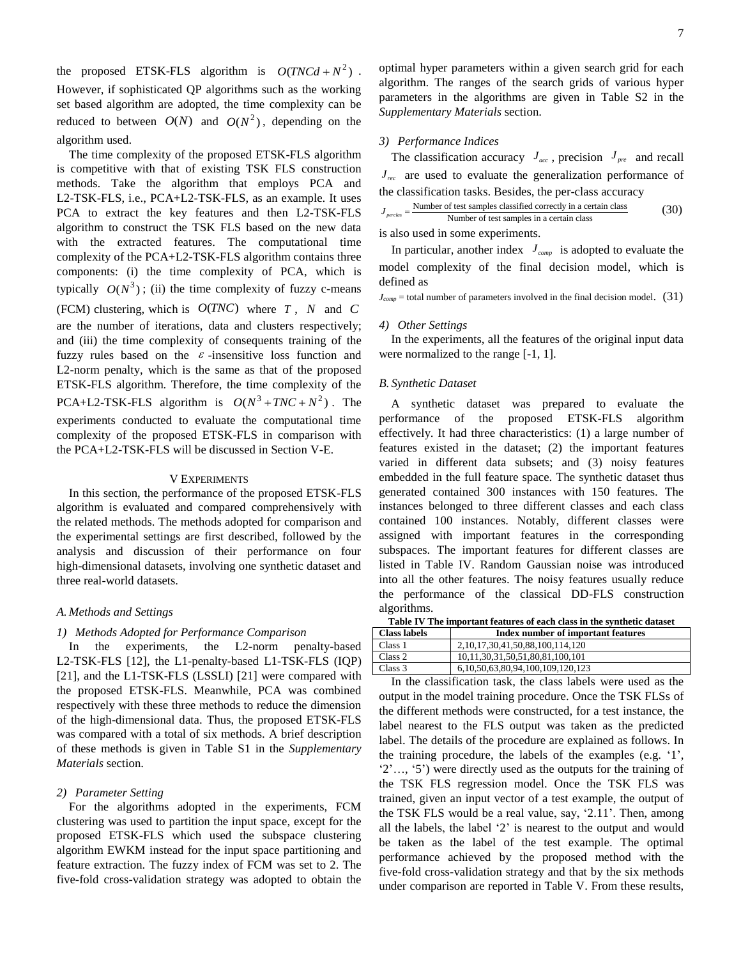the proposed ETSK-FLS algorithm is  $O(TNCd + N^2)$ . However, if sophisticated QP algorithms such as the working set based algorithm are adopted, the time complexity can be reduced to between  $O(N)$  and  $O(N^2)$ , depending on the algorithm used.

The time complexity of the proposed ETSK-FLS algorithm is competitive with that of existing TSK FLS construction methods. Take the algorithm that employs PCA and L2-TSK-FLS, i.e., PCA+L2-TSK-FLS, as an example. It uses PCA to extract the key features and then L2-TSK-FLS algorithm to construct the TSK FLS based on the new data with the extracted features. The computational time complexity of the PCA+L2-TSK-FLS algorithm contains three components: (i) the time complexity of PCA, which is typically  $O(N^3)$ ; (ii) the time complexity of fuzzy c-means (FCM) clustering, which is  $O(TNC)$  where  $T$ ,  $N$  and  $C$ are the number of iterations, data and clusters respectively; and (iii) the time complexity of consequents training of the fuzzy rules based on the  $\varepsilon$ -insensitive loss function and L2-norm penalty, which is the same as that of the proposed ETSK-FLS algorithm. Therefore, the time complexity of the PCA+L2-TSK-FLS algorithm is  $O(N^3 + TNC + N^2)$ . The experiments conducted to evaluate the computational time complexity of the proposed ETSK-FLS in comparison with the PCA+L2-TSK-FLS will be discussed in Section V-E.

#### V EXPERIMENTS

In this section, the performance of the proposed ETSK-FLS algorithm is evaluated and compared comprehensively with the related methods. The methods adopted for comparison and the experimental settings are first described, followed by the analysis and discussion of their performance on four high-dimensional datasets, involving one synthetic dataset and three real-world datasets.

## *A. Methods and Settings*

## *1) Methods Adopted for Performance Comparison*

In the experiments, the L2-norm penalty-based L2-TSK-FLS [12], the L1-penalty-based L1-TSK-FLS (IQP) [21], and the L1-TSK-FLS (LSSLI) [21] were compared with the proposed ETSK-FLS. Meanwhile, PCA was combined respectively with these three methods to reduce the dimension of the high-dimensional data. Thus, the proposed ETSK-FLS was compared with a total of six methods. A brief description of these methods is given in Table S1 in the *Supplementary Materials* section.

## *2) Parameter Setting*

For the algorithms adopted in the experiments, FCM clustering was used to partition the input space, except for the proposed ETSK-FLS which used the subspace clustering algorithm EWKM instead for the input space partitioning and feature extraction. The fuzzy index of FCM was set to 2. The five-fold cross-validation strategy was adopted to obtain the optimal hyper parameters within a given search grid for each algorithm. The ranges of the search grids of various hyper parameters in the algorithms are given in Table S2 in the *Supplementary Materials* section.

## *3) Performance Indices*

The classification accuracy  $J_{acc}$ , precision  $J_{pre}$  and recall *rec J* are used to evaluate the generalization performance of the classification tasks. Besides, the per-class accuracy

$$
J_{\text{perclas}} = \frac{\text{Number of test samples classified correctly in a certain class}}{\text{Number of test samples in a certain class}} \tag{30}
$$

is also used in some experiments.

In particular, another index  $J_{comp}$  is adopted to evaluate the model complexity of the final decision model, which is defined as

 $J_{comp}$  = total number of parameters involved in the final decision model. (31)

#### *4) Other Settings*

In the experiments, all the features of the original input data were normalized to the range [-1, 1].

#### *B. Synthetic Dataset*

A synthetic dataset was prepared to evaluate the performance of the proposed ETSK-FLS algorithm effectively. It had three characteristics: (1) a large number of features existed in the dataset; (2) the important features varied in different data subsets; and (3) noisy features embedded in the full feature space. The synthetic dataset thus generated contained 300 instances with 150 features. The instances belonged to three different classes and each class contained 100 instances. Notably, different classes were assigned with important features in the corresponding subspaces. The important features for different classes are listed in Table IV. Random Gaussian noise was introduced into all the other features. The noisy features usually reduce the performance of the classical DD-FLS construction algorithms.

|  |  |  |  |  | Table IV The important features of each class in the synthetic dataset |  |
|--|--|--|--|--|------------------------------------------------------------------------|--|
|  |  |  |  |  |                                                                        |  |

| <b>Class labels</b> | Index number of important features       |
|---------------------|------------------------------------------|
| Class 1             | 2, 10, 17, 30, 41, 50, 88, 100, 114, 120 |
| Class 2             | 10.11.30.31.50.51.80.81.100.101          |
| Class 3             | 6,10,50,63,80,94,100,109,120,123         |

In the classification task, the class labels were used as the output in the model training procedure. Once the TSK FLSs of the different methods were constructed, for a test instance, the label nearest to the FLS output was taken as the predicted label. The details of the procedure are explained as follows. In the training procedure, the labels of the examples (e.g. '1', '2'…, '5') were directly used as the outputs for the training of the TSK FLS regression model. Once the TSK FLS was trained, given an input vector of a test example, the output of the TSK FLS would be a real value, say, '2.11'. Then, among all the labels, the label '2' is nearest to the output and would be taken as the label of the test example. The optimal performance achieved by the proposed method with the five-fold cross-validation strategy and that by the six methods under comparison are reported in Table V. From these results,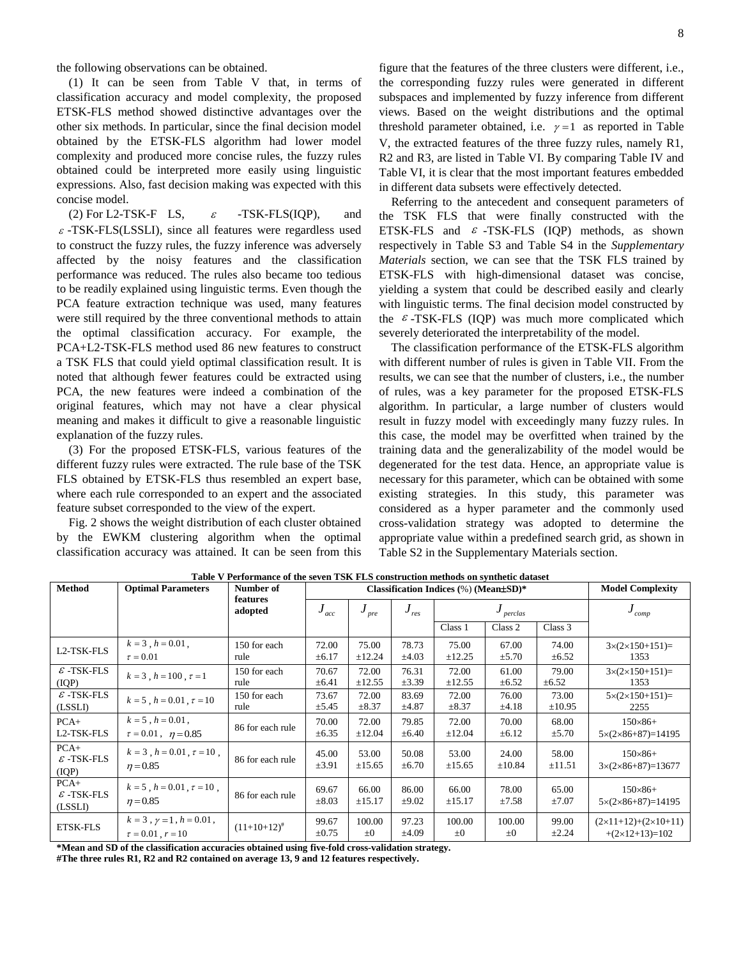the following observations can be obtained.

(1) It can be seen from Table V that, in terms of classification accuracy and model complexity, the proposed ETSK-FLS method showed distinctive advantages over the other six methods. In particular, since the final decision model obtained by the ETSK-FLS algorithm had lower model complexity and produced more concise rules, the fuzzy rules obtained could be interpreted more easily using linguistic expressions. Also, fast decision making was expected with this concise model.

(2) For L2-TSK-F LS,  $\varepsilon$  -TSK-FLS(IQP), and  $\varepsilon$ -TSK-FLS(LSSLI), since all features were regardless used to construct the fuzzy rules, the fuzzy inference was adversely affected by the noisy features and the classification performance was reduced. The rules also became too tedious to be readily explained using linguistic terms. Even though the PCA feature extraction technique was used, many features were still required by the three conventional methods to attain the optimal classification accuracy. For example, the PCA+L2-TSK-FLS method used 86 new features to construct a TSK FLS that could yield optimal classification result. It is noted that although fewer features could be extracted using PCA, the new features were indeed a combination of the original features, which may not have a clear physical meaning and makes it difficult to give a reasonable linguistic explanation of the fuzzy rules.

(3) For the proposed ETSK-FLS, various features of the different fuzzy rules were extracted. The rule base of the TSK FLS obtained by ETSK-FLS thus resembled an expert base, where each rule corresponded to an expert and the associated feature subset corresponded to the view of the expert.

Fig. 2 shows the weight distribution of each cluster obtained by the EWKM clustering algorithm when the optimal classification accuracy was attained. It can be seen from this figure that the features of the three clusters were different, i.e., the corresponding fuzzy rules were generated in different subspaces and implemented by fuzzy inference from different views. Based on the weight distributions and the optimal threshold parameter obtained, i.e.  $\gamma = 1$  as reported in Table V, the extracted features of the three fuzzy rules, namely R1, R2 and R3, are listed in Table VI. By comparing Table IV and Table VI, it is clear that the most important features embedded in different data subsets were effectively detected.

Referring to the antecedent and consequent parameters of the TSK FLS that were finally constructed with the ETSK-FLS and  $\varepsilon$ -TSK-FLS (IQP) methods, as shown respectively in Table S3 and Table S4 in the *Supplementary Materials* section, we can see that the TSK FLS trained by ETSK-FLS with high-dimensional dataset was concise, yielding a system that could be described easily and clearly with linguistic terms. The final decision model constructed by the  $\varepsilon$ -TSK-FLS (IQP) was much more complicated which severely deteriorated the interpretability of the model.

The classification performance of the ETSK-FLS algorithm with different number of rules is given in Table VII. From the results, we can see that the number of clusters, i.e., the number of rules, was a key parameter for the proposed ETSK-FLS algorithm. In particular, a large number of clusters would result in fuzzy model with exceedingly many fuzzy rules. In this case, the model may be overfitted when trained by the training data and the generalizability of the model would be degenerated for the test data. Hence, an appropriate value is necessary for this parameter, which can be obtained with some existing strategies. In this study, this parameter was considered as a hyper parameter and the commonly used cross-validation strategy was adopted to determine the appropriate value within a predefined search grid, as shown in Table S2 in the Supplementary Materials section.

| <b>Method</b>                     | <b>Optimal Parameters</b>                                         | Number of            | <b>Model Complexity</b> |                                    |                     |                      |                      |                      |                                                          |
|-----------------------------------|-------------------------------------------------------------------|----------------------|-------------------------|------------------------------------|---------------------|----------------------|----------------------|----------------------|----------------------------------------------------------|
|                                   |                                                                   | features<br>adopted  | $\boldsymbol{J}_{acc}$  | $J_{\scriptscriptstyle \, pre}^{}$ | $J_{\rm res}$       | J<br>perclas         |                      |                      | $\boldsymbol{J}_{comp}$                                  |
|                                   |                                                                   |                      |                         |                                    |                     | Class 1              | Class 2              | Class 3              |                                                          |
| L2-TSK-FLS                        | $k = 3$ , $h = 0.01$ ,<br>$\tau = 0.01$                           | 150 for each<br>rule | 72.00<br>$\pm 6.17$     | 75.00<br>±12.24                    | 78.73<br>$\pm 4.03$ | 75.00<br>±12.25      | 67.00<br>$\pm$ 5.70  | 74.00<br>$\pm 6.52$  | $3\times(2\times150+151)=$<br>1353                       |
| $E$ -TSK-FLS<br>(IQP)             | $k = 3$ , $h = 100$ , $\tau = 1$                                  | 150 for each<br>rule | 70.67<br>$\pm 6.41$     | 72.00<br>±12.55                    | 76.31<br>$\pm 3.39$ | 72.00<br>±12.55      | 61.00<br>$\pm 6.52$  | 79.00<br>$\pm 6.52$  | $3\times(2\times150+151)=$<br>1353                       |
| $\epsilon$ -TSK-FLS<br>(LSSLI)    | $k = 5$ , $h = 0.01$ , $\tau = 10$                                | 150 for each<br>rule | 73.67<br>$\pm$ 5.45     | 72.00<br>$\pm 8.37$                | 83.69<br>$\pm 4.87$ | 72.00<br>$\pm 8.37$  | 76.00<br>$\pm 4.18$  | 73.00<br>$\pm 10.95$ | $5 \times (2 \times 150 + 151) =$<br>2255                |
| $PCA+$<br>L <sub>2</sub> -TSK-FLS | $k = 5$ , $h = 0.01$ ,<br>$\tau = 0.01$ , $\eta = 0.85$           | 86 for each rule     | 70.00<br>$\pm 6.35$     | 72.00<br>$\pm 12.04$               | 79.85<br>$\pm 6.40$ | 72.00<br>$\pm 12.04$ | 70.00<br>$\pm 6.12$  | 68.00<br>$\pm$ 5.70  | $150\times86+$<br>$5 \times (2 \times 86 + 87) = 14195$  |
| $PCA+$<br>$E$ -TSK-FLS<br>(IQP)   | $k = 3$ , $h = 0.01$ , $\tau = 10$ ,<br>$\eta = 0.85$             | 86 for each rule     | 45.00<br>$\pm 3.91$     | 53.00<br>±15.65                    | 50.08<br>$\pm 6.70$ | 53.00<br>±15.65      | 24.00<br>$\pm 10.84$ | 58.00<br>±11.51      | $150\times86+$<br>$3\times(2\times86+87)=13677$          |
| $PCA+$<br>$E$ -TSK-FLS<br>(LSSLI) | $k = 5$ , $h = 0.01$ , $\tau = 10$ ,<br>$\eta = 0.85$             | 86 for each rule     | 69.67<br>$\pm 8.03$     | 66.00<br>±15.17                    | 86.00<br>$\pm 9.02$ | 66.00<br>±15.17      | 78.00<br>$\pm 7.58$  | 65.00<br>$\pm 7.07$  | $150\times86+$<br>$5 \times (2 \times 86 + 87) = 14195$  |
| <b>ETSK-FLS</b>                   | $k = 3$ , $\gamma = 1$ , $h = 0.01$ ,<br>$\tau = 0.01$ , $r = 10$ | $(11+10+12)^{*}$     | 99.67<br>$\pm 0.75$     | 100.00<br>$\pm 0$                  | 97.23<br>$\pm 4.09$ | 100.00<br>$\pm 0$    | 100.00<br>$\pm 0$    | 99.00<br>±2.24       | $(2\times11+12)+(2\times10+11)$<br>$+(2\times12+13)=102$ |

**Table V Performance of the seven TSK FLS construction methods on synthetic dataset**

**\*Mean and SD of the classification accuracies obtained using five-fold cross-validation strategy.**

**#The three rules R1, R2 and R2 contained on average 13, 9 and 12 features respectively.**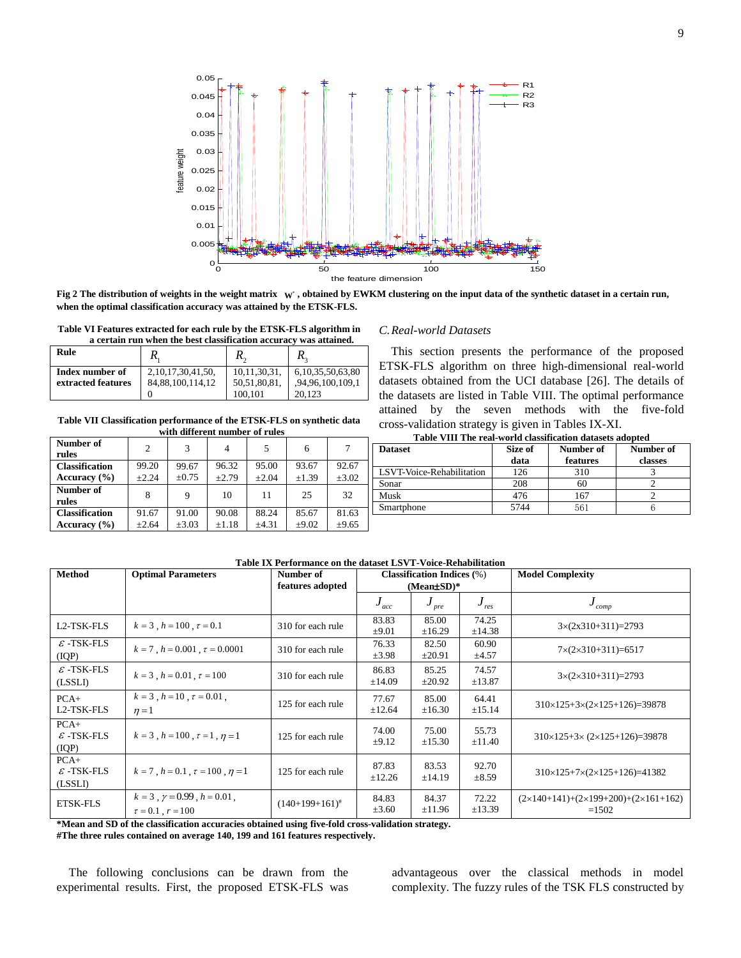

Fig 2 The distribution of weights in the weight matrix  $w^*$ , obtained by EWKM clustering on the input data of the synthetic dataset in a certain run, **when the optimal classification accuracy was attained by the ETSK-FLS.**

**Table VI Features extracted for each rule by the ETSK-FLS algorithm in a certain run when the best classification accuracy was attained.**

| Rule                                  | 11                                             | R.                                            | $R_{\rm c}$                                    |
|---------------------------------------|------------------------------------------------|-----------------------------------------------|------------------------------------------------|
| Index number of<br>extracted features | 2, 10, 17, 30, 41, 50,<br>84, 88, 100, 114, 12 | 10, 11, 30, 31.<br>50, 51, 80, 81,<br>100.101 | 6,10,35,50,63,80<br>,94,96,100,109,1<br>20.123 |

**Table VII Classification performance of the ETSK-FLS on synthetic data with different number of rules**

| Number of<br>rules    | 2          | 3          |            | 5          | 6          |            |
|-----------------------|------------|------------|------------|------------|------------|------------|
| <b>Classification</b> | 99.20      | 99.67      | 96.32      | 95.00      | 93.67      | 92.67      |
| Accuracy $(\% )$      | $+2.24$    | $\pm 0.75$ | ±2.79      | $\pm 2.04$ | $\pm 1.39$ | $\pm 3.02$ |
| Number of<br>rules    | 8          | 9          | 10         | 11         | 25         | 32         |
| <b>Classification</b> | 91.67      | 91.00      | 90.08      | 88.24      | 85.67      | 81.63      |
| Accuracy $(\% )$      | $\pm 2.64$ | $\pm 3.03$ | $\pm 1.18$ | ±4.31      | $\pm 9.02$ | $\pm 9.65$ |

#### *C.Real-world Datasets*

This section presents the performance of the proposed ETSK-FLS algorithm on three high-dimensional real-world datasets obtained from the UCI database [26]. The details of the datasets are listed in Table VIII. The optimal performance attained by the seven methods with the five-fold cross-validation strategy is given in Tables IX-XI.

| Table VIII The real-world classification datasets adopted |         |           |           |  |  |  |
|-----------------------------------------------------------|---------|-----------|-----------|--|--|--|
| <b>Dataset</b>                                            | Size of | Number of | Number of |  |  |  |
|                                                           | data    | features  | classes   |  |  |  |
| LSVT-Voice-Rehabilitation                                 | 126     | 310       |           |  |  |  |
| Sonar                                                     | 208     | 60        |           |  |  |  |
| Musk                                                      | 476     | 167       |           |  |  |  |
| Smartphone                                                | 5744    | 561       |           |  |  |  |

## **Table IX Performance on the dataset LSVT-Voice-Rehabilitation**

| <b>Method</b>                             | <b>Optimal Parameters</b>                                            | Number of<br>features adopted | <b>Classification Indices</b> (%)<br>$(Mean \pm SD)^*$ |                                 |                                 | <b>Model Complexity</b>                                         |
|-------------------------------------------|----------------------------------------------------------------------|-------------------------------|--------------------------------------------------------|---------------------------------|---------------------------------|-----------------------------------------------------------------|
|                                           |                                                                      |                               | $\boldsymbol{J}_{acc}$                                 | $J_{\scriptscriptstyle \, pre}$ | $\boldsymbol{J}_{\mathit{res}}$ | $\boldsymbol{J}_{comp}$                                         |
| L2-TSK-FLS                                | $k = 3$ , $h = 100$ , $\tau = 0.1$                                   | 310 for each rule             | 83.83<br>$\pm 9.01$                                    | 85.00<br>$\pm 16.29$            | 74.25<br>±14.38                 | $3\times(2\times310+311)=2793$                                  |
| $\epsilon$ -TSK-FLS<br>(IQP)              | $k = 7$ , $h = 0.001$ , $\tau = 0.0001$                              | 310 for each rule             | 76.33<br>$\pm 3.98$                                    | 82.50<br>±20.91                 | 60.90<br>$\pm 4.57$             | $7 \times (2 \times 310 + 311) = 6517$                          |
| $\epsilon$ -TSK-FLS<br>(LSSLI)            | $k = 3$ , $h = 0.01$ , $\tau = 100$                                  | 310 for each rule             | 86.83<br>±14.09                                        | 85.25<br>$\pm 20.92$            | 74.57<br>$\pm$ 13.87            | $3\times(2\times310+311)=2793$                                  |
| $PCA+$<br>L2-TSK-FLS                      | $k = 3$ , $h = 10$ , $\tau = 0.01$ ,<br>$\eta = 1$                   | 125 for each rule             | 77.67<br>$\pm 12.64$                                   | 85.00<br>$\pm 16.30$            | 64.41<br>±15.14                 | $310\times125+3\times(2\times125+126)=39878$                    |
| $PCA+$<br>$\varepsilon$ -TSK-FLS<br>(IQP) | $k = 3$ , $h = 100$ , $\tau = 1$ , $\eta = 1$                        | 125 for each rule             | 74.00<br>$\pm 9.12$                                    | 75.00<br>±15.30                 | 55.73<br>$\pm 11.40$            | $310\times125+3\times(2\times125+126)=39878$                    |
| $PCA+$<br>$\epsilon$ -TSK-FLS<br>(LSSLI)  | $k = 7$ , $h = 0.1$ , $\tau = 100$ , $\eta = 1$                      | 125 for each rule             | 87.83<br>$\pm 12.26$                                   | 83.53<br>±14.19                 | 92.70<br>$\pm 8.59$             | $310\times125+7\times(2\times125+126)=41382$                    |
| <b>ETSK-FLS</b>                           | $k = 3$ , $\gamma = 0.99$ , $h = 0.01$ ,<br>$\tau = 0.1$ , $r = 100$ | $(140+199+161)^{*}$           | 84.83<br>$\pm 3.60$                                    | 84.37<br>$\pm$ 11.96            | 72.22<br>±13.39                 | $(2\times140+141)+(2\times199+200)+(2\times161+162)$<br>$=1502$ |

**\*Mean and SD of the classification accuracies obtained using five-fold cross-validation strategy.**

**#The three rules contained on average 140, 199 and 161 features respectively.**

The following conclusions can be drawn from the experimental results. First, the proposed ETSK-FLS was advantageous over the classical methods in model complexity. The fuzzy rules of the TSK FLS constructed by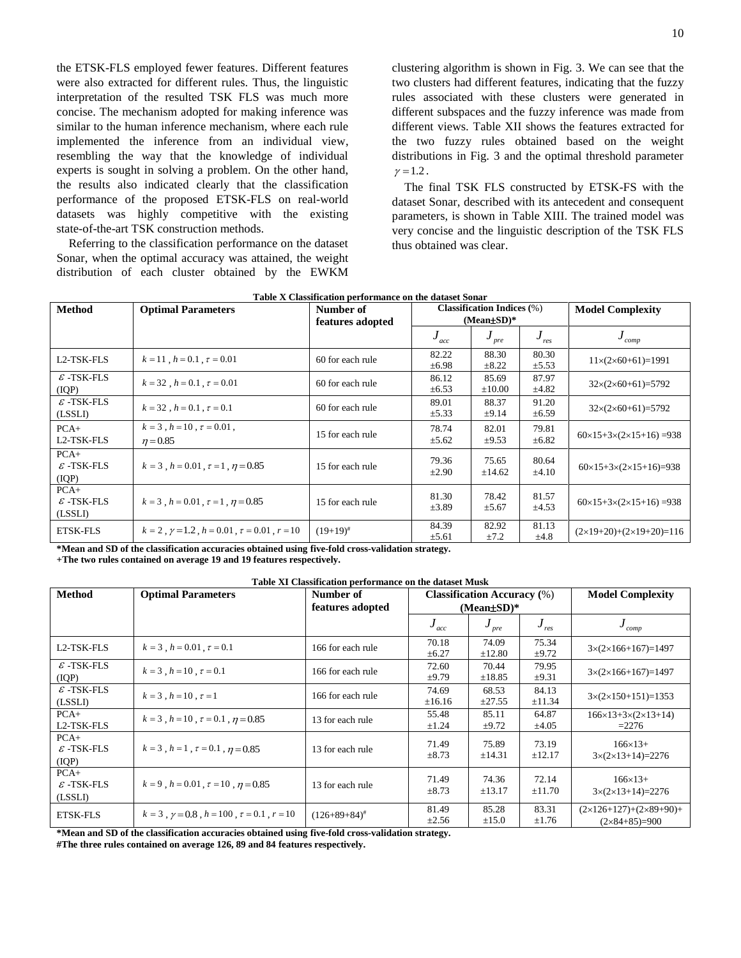the ETSK-FLS employed fewer features. Different features were also extracted for different rules. Thus, the linguistic interpretation of the resulted TSK FLS was much more concise. The mechanism adopted for making inference was similar to the human inference mechanism, where each rule implemented the inference from an individual view, resembling the way that the knowledge of individual experts is sought in solving a problem. On the other hand, the results also indicated clearly that the classification performance of the proposed ETSK-FLS on real-world datasets was highly competitive with the existing state-of-the-art TSK construction methods.

Referring to the classification performance on the dataset Sonar, when the optimal accuracy was attained, the weight distribution of each cluster obtained by the EWKM clustering algorithm is shown in Fig. 3. We can see that the two clusters had different features, indicating that the fuzzy rules associated with these clusters were generated in different subspaces and the fuzzy inference was made from different views. Table XII shows the features extracted for the two fuzzy rules obtained based on the weight distributions in Fig. 3 and the optimal threshold parameter  $\gamma = 1.2$ .

The final TSK FLS constructed by ETSK-FS with the dataset Sonar, described with its antecedent and consequent parameters, is shown in Table XIII. The trained model was very concise and the linguistic description of the TSK FLS thus obtained was clear.

| Table A Classification performance on the dataset sonal |                                                                  |                  |                                   |                                    |                        |                                          |  |
|---------------------------------------------------------|------------------------------------------------------------------|------------------|-----------------------------------|------------------------------------|------------------------|------------------------------------------|--|
| <b>Method</b>                                           | <b>Optimal Parameters</b>                                        | Number of        | <b>Classification Indices</b> (%) |                                    |                        | <b>Model Complexity</b>                  |  |
|                                                         |                                                                  | features adopted | $(Mean \pm SD)^*$                 |                                    |                        |                                          |  |
|                                                         |                                                                  |                  | $J_{_{acc}}$                      | $J_{\scriptscriptstyle \, pre}^{}$ | $\boldsymbol{J}_{res}$ | $\boldsymbol{J}_{comp}$                  |  |
| L <sub>2</sub> -TSK-FLS                                 | $k = 11$ , $h = 0.1$ , $\tau = 0.01$                             | 60 for each rule | 82.22<br>$\pm 6.98$               | 88.30<br>±8.22                     | 80.30<br>$\pm$ 5.53    | $11\times(2\times60+61)=1991$            |  |
| $\epsilon$ -TSK-FLS<br>(IQP)                            | $k = 32$ , $h = 0.1$ , $\tau = 0.01$                             | 60 for each rule | 86.12<br>$\pm 6.53$               | 85.69<br>$\pm 10.00$               | 87.97<br>$\pm 4.82$    | $32\times(2\times60+61)=5792$            |  |
| $\epsilon$ -TSK-FLS<br>(LSSLI)                          | $k = 32$ , $h = 0.1$ , $\tau = 0.1$                              | 60 for each rule | 89.01<br>$\pm$ 5.33               | 88.37<br>$\pm 9.14$                | 91.20<br>$\pm 6.59$    | $32\times(2\times60+61)=5792$            |  |
| $PCA+$<br>L <sub>2</sub> -TSK-FLS                       | $k = 3$ , $h = 10$ , $\tau = 0.01$ ,<br>$\eta = 0.85$            | 15 for each rule | 78.74<br>$\pm$ 5.62               | 82.01<br>$\pm 9.53$                | 79.81<br>$\pm 6.82$    | $60\times15+3\times(2\times15+16) = 938$ |  |
| $PCA+$<br>$\epsilon$ -TSK-FLS<br>(IQP)                  | $k = 3$ , $h = 0.01$ , $\tau = 1$ , $\eta = 0.85$                | 15 for each rule | 79.36<br>$\pm 2.90$               | 75.65<br>±14.62                    | 80.64<br>$\pm 4.10$    | $60\times15+3\times(2\times15+16)=938$   |  |
| $PCA+$<br>$\epsilon$ -TSK-FLS<br>(LSSLI)                | $k = 3$ , $h = 0.01$ , $\tau = 1$ , $\eta = 0.85$                | 15 for each rule | 81.30<br>$\pm 3.89$               | 78.42<br>$\pm 5.67$                | 81.57<br>$\pm 4.53$    | $60\times15+3\times(2\times15+16) = 938$ |  |
| <b>ETSK-FLS</b>                                         | $k = 2$ , $\gamma = 1.2$ , $h = 0.01$ , $\tau = 0.01$ , $r = 10$ | $(19+19)^{*}$    | 84.39<br>$\pm$ 5.61               | 82.92<br>$\pm 7.2$                 | 81.13<br>$\pm 4.8$     | $(2\times19+20)+(2\times19+20)=116$      |  |

|  | Table X Classification performance on the dataset Sonar |  |  |
|--|---------------------------------------------------------|--|--|
|  |                                                         |  |  |

**\*Mean and SD of the classification accuracies obtained using five-fold cross-validation strategy.**

**+The two rules contained on average 19 and 19 features respectively.**

**Table XI Classification performance on the dataset Musk**

| Table At Classification performance on the dataset briush<br><b>Classification Accuracy</b> (%)<br><b>Method</b><br><b>Optimal Parameters</b><br>Number of |                                                                |                   |                     |                                   |                     | <b>Model Complexity</b>                                    |
|------------------------------------------------------------------------------------------------------------------------------------------------------------|----------------------------------------------------------------|-------------------|---------------------|-----------------------------------|---------------------|------------------------------------------------------------|
|                                                                                                                                                            |                                                                | features adopted  |                     |                                   |                     |                                                            |
|                                                                                                                                                            |                                                                |                   |                     | $(Mean \pm SD)^*$                 |                     |                                                            |
|                                                                                                                                                            |                                                                |                   | $J_{_{acc}}$        | $J_{\scriptscriptstyle\, pre}^{}$ | $J_{\rm res}$       | J<br>comp                                                  |
| L <sub>2</sub> -TSK-FLS                                                                                                                                    | $k = 3$ , $h = 0.01$ , $\tau = 0.1$                            | 166 for each rule | 70.18<br>$\pm 6.27$ | 74.09<br>$\pm 12.80$              | 75.34<br>$\pm 9.72$ | $3\times(2\times166+167)=1497$                             |
| $\varepsilon$ -TSK-FLS<br>(IOP)                                                                                                                            | $k = 3$ , $h = 10$ , $\tau = 0.1$                              | 166 for each rule | 72.60<br>$\pm 9.79$ | 70.44<br>±18.85                   | 79.95<br>$\pm 9.31$ | $3\times(2\times166+167)=1497$                             |
| $\epsilon$ -TSK-FLS<br>(LSSLI)                                                                                                                             | $k = 3$ , $h = 10$ , $\tau = 1$                                | 166 for each rule | 74.69<br>±16.16     | 68.53<br>±27.55                   | 84.13<br>±11.34     | $3\times(2\times150+151)=1353$                             |
| $PCA+$<br>L <sub>2</sub> -TSK-FLS                                                                                                                          | $k = 3$ , $h = 10$ , $\tau = 0.1$ , $\eta = 0.85$              | 13 for each rule  | 55.48<br>$\pm 1.24$ | 85.11<br>$\pm 9.72$               | 64.87<br>$\pm 4.05$ | $166 \times 13 + 3 \times (2 \times 13 + 14)$<br>$= 2276$  |
| $PCA+$<br>$E$ -TSK-FLS<br>(IQP)                                                                                                                            | $k = 3$ , $h = 1$ , $\tau = 0.1$ , $\eta = 0.85$               | 13 for each rule  | 71.49<br>$\pm 8.73$ | 75.89<br>±14.31                   | 73.19<br>±12.17     | $166 \times 13+$<br>$3\times(2\times13+14)=2276$           |
| $PCA+$<br>$\epsilon$ -TSK-FLS<br>(LSSLI)                                                                                                                   | $k = 9$ , $h = 0.01$ , $\tau = 10$ , $\eta = 0.85$             | 13 for each rule  | 71.49<br>$\pm 8.73$ | 74.36<br>±13.17                   | 72.14<br>±11.70     | $166 \times 13+$<br>$3\times(2\times13+14)=2276$           |
| <b>ETSK-FLS</b>                                                                                                                                            | $k = 3$ , $\gamma = 0.8$ , $h = 100$ , $\tau = 0.1$ , $r = 10$ | $(126+89+84)^{*}$ | 81.49<br>$\pm 2.56$ | 85.28<br>$\pm 15.0$               | 83.31<br>$\pm 1.76$ | $(2\times126+127)+(2\times89+90)+$<br>$(2\times84+85)=900$ |

**\*Mean and SD of the classification accuracies obtained using five-fold cross-validation strategy.**

**#The three rules contained on average 126, 89 and 84 features respectively.**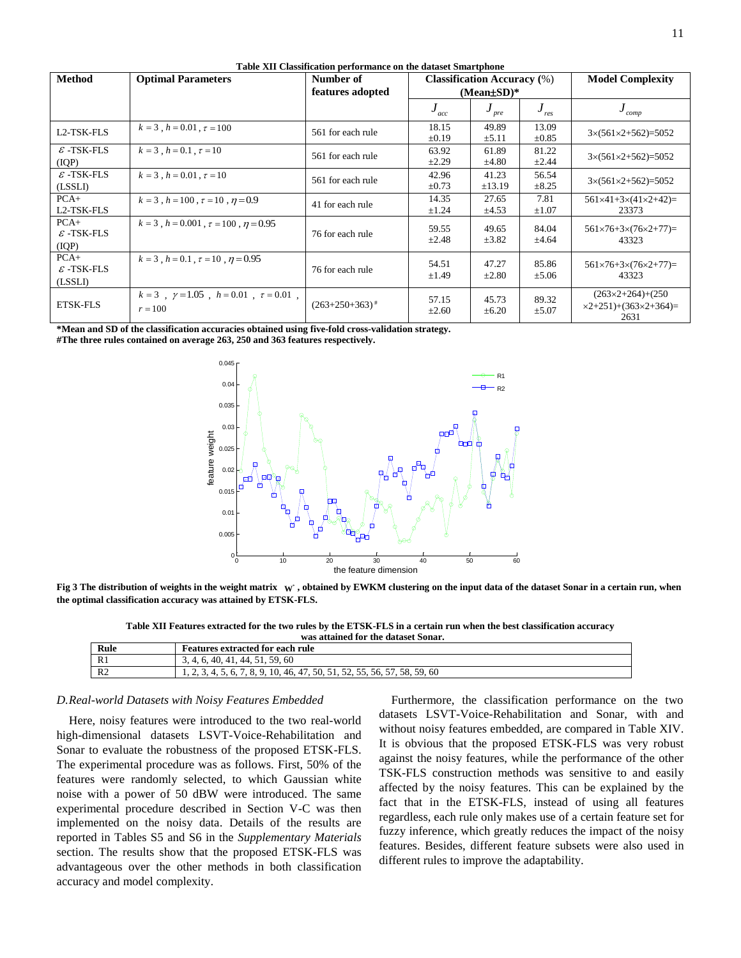| Table XII Classification performance on the dataset Smartphone |                                                                       |                   |                        |                                    |                         |                                                                           |  |
|----------------------------------------------------------------|-----------------------------------------------------------------------|-------------------|------------------------|------------------------------------|-------------------------|---------------------------------------------------------------------------|--|
| <b>Method</b>                                                  | <b>Optimal Parameters</b>                                             | Number of         |                        | <b>Classification Accuracy</b> (%) | <b>Model Complexity</b> |                                                                           |  |
|                                                                |                                                                       | features adopted  | $(Mean \pm SD)^*$      |                                    |                         |                                                                           |  |
|                                                                |                                                                       |                   | $\boldsymbol{J}_{acc}$ | $J_{\scriptscriptstyle \, pre}^{}$ | $J_{\text{res}}$        | J<br>comp                                                                 |  |
| L <sub>2</sub> -TSK-FLS                                        | $k = 3$ , $h = 0.01$ , $\tau = 100$                                   | 561 for each rule | 18.15<br>$\pm 0.19$    | 49.89<br>$\pm 5.11$                | 13.09<br>$\pm 0.85$     | $3\times(561\times2+562)=5052$                                            |  |
| $\epsilon$ -TSK-FLS<br>(IQP)                                   | $k = 3$ , $h = 0.1$ , $\tau = 10$                                     | 561 for each rule | 63.92<br>±2.29         | 61.89<br>$\pm 4.80$                | 81.22<br>$\pm 2.44$     | $3\times(561\times2+562)=5052$                                            |  |
| $\epsilon$ -TSK-FLS<br>(LSSLI)                                 | $k = 3$ , $h = 0.01$ , $\tau = 10$                                    | 561 for each rule | 42.96<br>$\pm 0.73$    | 41.23<br>±13.19                    | 56.54<br>$\pm 8.25$     | $3\times(561\times2+562)=5052$                                            |  |
| $PCA+$<br>L <sub>2</sub> -TSK-FLS                              | $k = 3$ , $h = 100$ , $\tau = 10$ , $\eta = 0.9$                      | 41 for each rule  | 14.35<br>$\pm 1.24$    | 27.65<br>$\pm 4.53$                | 7.81<br>$\pm 1.07$      | $561\times41+3\times(41\times2+42)=$<br>23373                             |  |
| $PCA+$<br>$\epsilon$ -TSK-FLS<br>(IQP)                         | $k = 3$ , $h = 0.001$ , $\tau = 100$ , $\eta = 0.95$                  | 76 for each rule  | 59.55<br>$\pm 2.48$    | 49.65<br>$\pm 3.82$                | 84.04<br>±4.64          | $561\times76+3\times(76\times2+77)=$<br>43323                             |  |
| $PCA+$<br>$E$ -TSK-FLS<br>(LSSLI)                              | $k = 3$ , $h = 0.1$ , $\tau = 10$ , $\eta = 0.95$                     | 76 for each rule  | 54.51<br>$\pm 1.49$    | 47.27<br>$\pm 2.80$                | 85.86<br>$\pm 5.06$     | $561\times76+3\times(76\times2+77)=$<br>43323                             |  |
| <b>ETSK-FLS</b>                                                | $k = 3$ , $\gamma = 1.05$ , $h = 0.01$ , $\tau = 0.01$ ,<br>$r = 100$ | $(263+250+363)^*$ | 57.15<br>$\pm 2.60$    | 45.73<br>$\pm 6.20$                | 89.32<br>$\pm 5.07$     | $(263\times2+264)+(250)$<br>$\times$ 2+251)+(363 $\times$ 2+364)=<br>2631 |  |

**\*Mean and SD of the classification accuracies obtained using five-fold cross-validation strategy.** 

**#The three rules contained on average 263, 250 and 363 features respectively.**



Fig 3 The distribution of weights in the weight matrix  $w^*$  , obtained by EWKM clustering on the input data of the dataset Sonar in a certain run, when **the optimal classification accuracy was attained by ETSK-FLS.**

**Table XII Features extracted for the two rules by the ETSK-FLS in a certain run when the best classification accuracy was attained for the dataset Sonar.**

| Rule           | <b>Features extracted for each rule</b>                                   |  |  |  |  |
|----------------|---------------------------------------------------------------------------|--|--|--|--|
| R1             | 3, 4, 6, 40, 41, 44, 51, 59, 60                                           |  |  |  |  |
| R <sub>2</sub> | 1, 2, 3, 4, 5, 6, 7, 8, 9, 10, 46, 47, 50, 51, 52, 55, 56, 57, 58, 59, 60 |  |  |  |  |

## *D.Real-world Datasets with Noisy Features Embedded*

Here, noisy features were introduced to the two real-world high-dimensional datasets LSVT-Voice-Rehabilitation and Sonar to evaluate the robustness of the proposed ETSK-FLS. The experimental procedure was as follows. First, 50% of the features were randomly selected, to which Gaussian white noise with a power of 50 dBW were introduced. The same experimental procedure described in Section V-C was then implemented on the noisy data. Details of the results are reported in Tables S5 and S6 in the *Supplementary Materials* section. The results show that the proposed ETSK-FLS was advantageous over the other methods in both classification accuracy and model complexity.

Furthermore, the classification performance on the two datasets LSVT-Voice-Rehabilitation and Sonar, with and without noisy features embedded, are compared in Table XIV. It is obvious that the proposed ETSK-FLS was very robust against the noisy features, while the performance of the other TSK-FLS construction methods was sensitive to and easily affected by the noisy features. This can be explained by the fact that in the ETSK-FLS, instead of using all features regardless, each rule only makes use of a certain feature set for fuzzy inference, which greatly reduces the impact of the noisy features. Besides, different feature subsets were also used in different rules to improve the adaptability.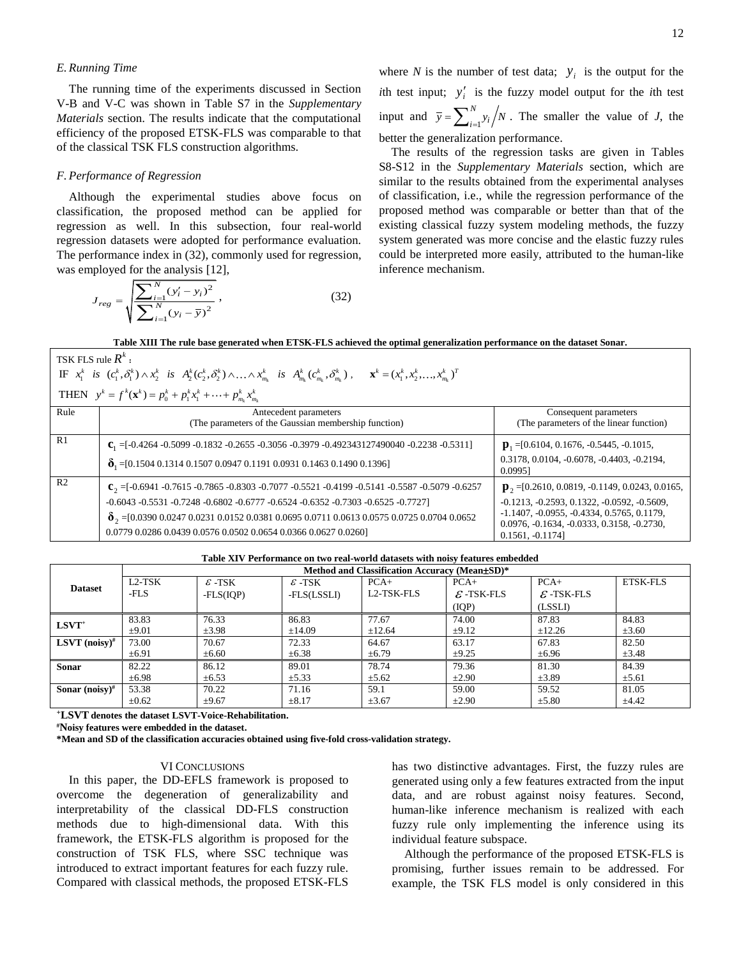## *E. Running Time*

The running time of the experiments discussed in Section V-B and V-C was shown in Table S7 in the *Supplementary Materials* section. The results indicate that the computational efficiency of the proposed ETSK-FLS was comparable to that of the classical TSK FLS construction algorithms.

## *F. Performance of Regression*

Although the experimental studies above focus on classification, the proposed method can be applied for regression as well. In this subsection, four real-world regression datasets were adopted for performance evaluation. The performance index in (32), commonly used for regression, was employed for the analysis [12],

$$
J_{reg} = \sqrt{\frac{\sum_{i=1}^{N} (y'_i - y_i)^2}{\sum_{i=1}^{N} (y_i - \overline{y})^2}},
$$
\n(32)

where *N* is the number of test data;  $y_i$  is the output for the *i*th test input;  $y'_i$  is the fuzzy model output for the *i*th test input and  $\overline{y} = \sum_{i=1}^{11}$ *N*  $\overline{y} = \sum_{i=1}^{N} y_i / N$ . The smaller the value of *J*, the better the generalization performance.

The results of the regression tasks are given in Tables S8-S12 in the *Supplementary Materials* section, which are similar to the results obtained from the experimental analyses of classification, i.e., while the regression performance of the proposed method was comparable or better than that of the existing classical fuzzy system modeling methods, the fuzzy system generated was more concise and the elastic fuzzy rules could be interpreted more easily, attributed to the human-like inference mechanism.

**Table XIII The rule base generated when ETSK-FLS achieved the optimal generalization performance on the dataset Sonar.**

| TSK FLS rule $R^k$ :                                                                                                                                                                               |  |
|----------------------------------------------------------------------------------------------------------------------------------------------------------------------------------------------------|--|
| IF $x_1^k$ is $(c_1^k, \delta_1^k) \wedge x_2^k$ is $A_2^k(c_2^k, \delta_2^k) \wedge  \wedge x_{m_k}^k$ is $A_{m_k}^k(c_{m_k}^k, \delta_{m_k}^k)$ , $\mathbf{x}^k = (x_1^k, x_2^k, , x_{m_k}^k)^T$ |  |
| <b>THEN</b> $y^k = f^k(\mathbf{x}^k) = p_0^k + p_1^k x_1^k + \cdots + p_m^k x_m^k$                                                                                                                 |  |

|                | <b>THEIN</b> $y = f(x) = p_0 + p_1 x_1 + \cdots + p_m x_m$                                       |                                                                                            |
|----------------|--------------------------------------------------------------------------------------------------|--------------------------------------------------------------------------------------------|
| Rule           | Antecedent parameters                                                                            | Consequent parameters                                                                      |
|                | (The parameters of the Gaussian membership function)                                             | (The parameters of the linear function)                                                    |
| R <sub>1</sub> | $C_1$ =[-0.4264 -0.5099 -0.1832 -0.2655 -0.3056 -0.3979 -0.492343127490040 -0.2238 -0.5311]      | $\mathbf{p}_1$ = [0.6104, 0.1676, -0.5445, -0.1015,                                        |
|                | $\delta_1$ = [0.1504 0.1314 0.1507 0.0947 0.1191 0.0931 0.1463 0.1490 0.1396]                    | 0.3178, 0.0104, -0.6078, -0.4403, -0.2194,<br>0.09951                                      |
| R <sub>2</sub> | $C_2$ =[-0.6941 -0.7615 -0.7865 -0.8303 -0.7077 -0.5521 -0.4199 -0.5141 -0.5587 -0.5079 -0.6257  | $\mathbf{p}_2$ = [0.2610, 0.0819, -0.1149, 0.0243, 0.0165,                                 |
|                | $-0.6043 -0.5531 -0.7248 -0.6802 -0.6777 -0.6524 -0.6352 -0.7303 -0.6525 -0.7727$                | $-0.1213, -0.2593, 0.1322, -0.0592, -0.5609,$                                              |
|                | $\delta_2$ =[0.0390 0.0247 0.0231 0.0152 0.0381 0.0695 0.0711 0.0613 0.0575 0.0725 0.0704 0.0652 | $-1.1407, -0.0955, -0.4334, 0.5765, 0.1179,$<br>0.0976, -0.1634, -0.0333, 0.3158, -0.2730, |
|                | 0.0779 0.0286 0.0439 0.0576 0.0502 0.0654 0.0366 0.0627 0.0260]                                  | $0.1561, -0.1174$                                                                          |

#### **Table XIV Performance on two real-world datasets with noisy features embedded**

|                      | Method and Classification Accuracy (Mean $\pm$ SD)* |                    |                    |                         |              |              |            |  |
|----------------------|-----------------------------------------------------|--------------------|--------------------|-------------------------|--------------|--------------|------------|--|
|                      | $L2-TSK$                                            | $\varepsilon$ -TSK | $\varepsilon$ -TSK | $PCA+$                  | $PCA+$       | $PCA+$       | ETSK-FLS   |  |
| <b>Dataset</b>       | -FLS                                                | $-FLS(IQP)$        | -FLS(LSSLI)        | L <sub>2</sub> -TSK-FLS | $E$ -TSK-FLS | $E$ -TSK-FLS |            |  |
|                      |                                                     |                    |                    |                         | (IQP)        | (LSSLI)      |            |  |
| $LSVT^+$             | 83.83                                               | 76.33              | 86.83              | 77.67                   | 74.00        | 87.83        | 84.83      |  |
|                      | $\pm 9.01$                                          | $\pm 3.98$         | $\pm 14.09$        | ±12.64                  | $\pm 9.12$   | ±12.26       | $\pm 3.60$ |  |
| LSVT $(noisy)^{\#}$  | 73.00                                               | 70.67              | 72.33              | 64.67                   | 63.17        | 67.83        | 82.50      |  |
|                      | $\pm 6.91$                                          | $\pm 6.60$         | $\pm 6.38$         | $\pm 6.79$              | $\pm 9.25$   | $\pm 6.96$   | $\pm 3.48$ |  |
| <b>Sonar</b>         | 82.22                                               | 86.12              | 89.01              | 78.74                   | 79.36        | 81.30        | 84.39      |  |
|                      | $\pm 6.98$                                          | $\pm 6.53$         | $\pm$ 5.33         | $\pm 5.62$              | $\pm 2.90$   | $\pm 3.89$   | $\pm$ 5.61 |  |
| Sonar $(noisy)^{\#}$ | 53.38                                               | 70.22              | 71.16              | 59.1                    | 59.00        | 59.52        | 81.05      |  |
|                      | $\pm 0.62$                                          | $\pm 9.67$         | $\pm 8.17$         | $\pm 3.67$              | $\pm 2.90$   | $\pm$ 5.80   | ±4.42      |  |

**<sup>+</sup>LSVT denotes the dataset LSVT-Voice-Rehabilitation.**

**#Noisy features were embedded in the dataset.**

**\*Mean and SD of the classification accuracies obtained using five-fold cross-validation strategy.**

#### VI CONCLUSIONS

In this paper, the DD-EFLS framework is proposed to overcome the degeneration of generalizability and interpretability of the classical DD-FLS construction methods due to high-dimensional data. With this framework, the ETSK-FLS algorithm is proposed for the construction of TSK FLS, where SSC technique was introduced to extract important features for each fuzzy rule. Compared with classical methods, the proposed ETSK-FLS

has two distinctive advantages. First, the fuzzy rules are generated using only a few features extracted from the input data, and are robust against noisy features. Second, human-like inference mechanism is realized with each fuzzy rule only implementing the inference using its individual feature subspace.

Although the performance of the proposed ETSK-FLS is promising, further issues remain to be addressed. For example, the TSK FLS model is only considered in this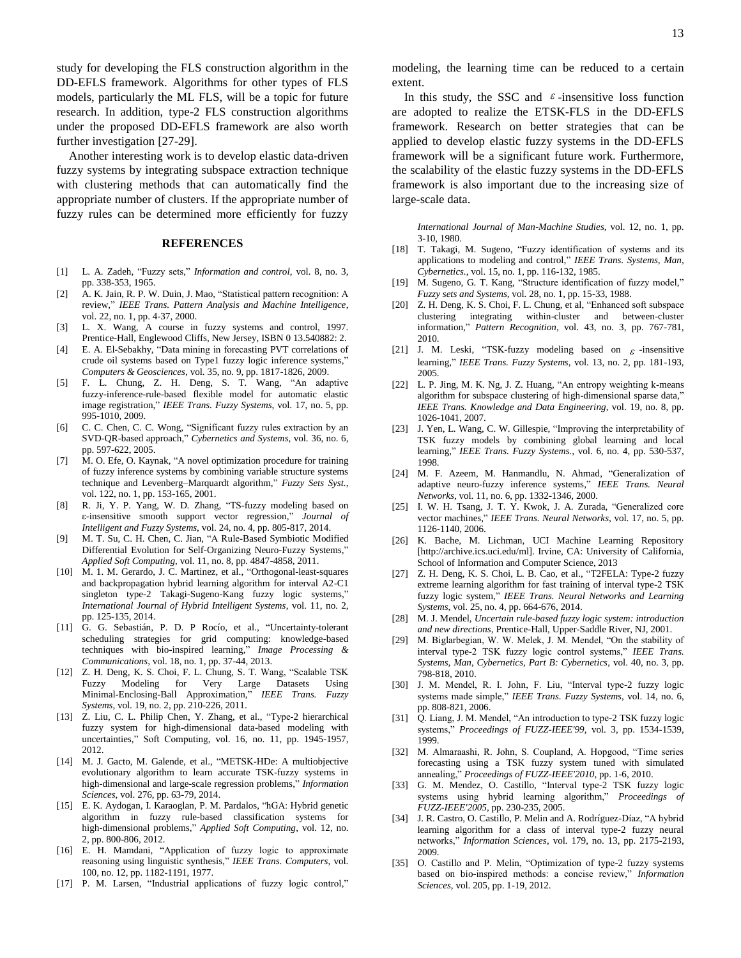study for developing the FLS construction algorithm in the DD-EFLS framework. Algorithms for other types of FLS models, particularly the ML FLS, will be a topic for future research. In addition, type-2 FLS construction algorithms under the proposed DD-EFLS framework are also worth further investigation [27-29].

Another interesting work is to develop elastic data-driven fuzzy systems by integrating subspace extraction technique with clustering methods that can automatically find the appropriate number of clusters. If the appropriate number of fuzzy rules can be determined more efficiently for fuzzy

## **REFERENCES**

- [1] L. A. Zadeh, "Fuzzy sets," *Information and control*, vol. 8, no. 3, pp. 338-353, 1965.
- [2] A. K. Jain, R. P. W. Duin, J. Mao, "Statistical pattern recognition: A review," *IEEE Trans. Pattern Analysis and Machine Intelligence*, vol. 22, no. 1, pp. 4-37, 2000.
- [3] L. X. Wang, A course in fuzzy systems and control, 1997. Prentice-Hall, Englewood Cliffs, New Jersey, ISBN 0 13.540882: 2.
- [4] E. A. El-Sebakhy, "Data mining in forecasting PVT correlations of crude oil systems based on Type1 fuzzy logic inference systems," *Computers & Geosciences*, vol. 35, no. 9, pp. 1817-1826, 2009.
- [5] F. L. Chung, Z. H. Deng, S. T. Wang, "An adaptive fuzzy-inference-rule-based flexible model for automatic elastic image registration," *IEEE Trans. Fuzzy Systems*, vol. 17, no. 5, pp. 995-1010, 2009.
- [6] C. C. Chen, C. C. Wong, "Significant fuzzy rules extraction by an SVD-QR-based approach," *Cybernetics and Systems,* vol. 36, no. 6, pp. 597-622, 2005.
- [7] M. O. Efe, O. Kaynak, "A novel optimization procedure for training of fuzzy inference systems by combining variable structure systems technique and Levenberg–Marquardt algorithm," *Fuzzy Sets Syst.*, vol. 122, no. 1, pp. 153-165, 2001.
- [8] R. Ji, Y. P. Yang, W. D. Zhang, "TS-fuzzy modeling based on ε-insensitive smooth support vector regression," *Journal Intelligent and Fuzzy Systems*, vol. 24, no. 4, pp. 805-817, 2014.
- [9] M. T. Su, C. H. Chen, C. Jian, "A Rule-Based Symbiotic Modified Differential Evolution for Self-Organizing Neuro-Fuzzy Systems," *Applied Soft Computing*, vol. 11, no. 8, pp. 4847-4858, 2011.
- [10] M. 1. M. Gerardo, J. C. Martinez, et al., "Orthogonal-least-squares" and backpropagation hybrid learning algorithm for interval A2-C1 singleton type-2 Takagi-Sugeno-Kang fuzzy logic systems," *International Journal of Hybrid Intelligent Systems*, vol. 11, no. 2, pp. 125-135, 2014.
- [11] G. G. Sebastián, P. D. P Rocío, et al., "Uncertainty-tolerant scheduling strategies for grid computing: knowledge-based techniques with bio-inspired learning," *Image Processing & Communications*, vol. 18, no. 1, pp. 37-44, 2013.
- [12] Z. H. Deng, K. S. Choi, F. L. Chung, S. T. Wang, "Scalable TSK Fuzzy Modeling for Very Large Datasets Using Minimal-Enclosing-Ball Approximation," *IEEE Trans. Fuzzy Systems*, vol. 19, no. 2, pp. 210-226, 2011.
- [13] Z. Liu, C. L. Philip Chen, Y. Zhang, et al., "Type-2 hierarchical fuzzy system for high-dimensional data-based modeling with uncertainties," Soft Computing, vol. 16, no. 11, pp. 1945-1957, 2012.
- [14] M. J. Gacto, M. Galende, et al., "METSK-HDe: A multiobjective evolutionary algorithm to learn accurate TSK-fuzzy systems in high-dimensional and large-scale regression problems," *Information Sciences*, vol. 276, pp. 63-79, 2014.
- [15] E. K. Aydogan, I. Karaoglan, P. M. Pardalos, "hGA: Hybrid genetic algorithm in fuzzy rule-based classification systems for high-dimensional problems," *Applied Soft Computing*, vol. 12, no. 2, pp. 800-806, 2012.
- [16] E. H. Mamdani, "Application of fuzzy logic to approximate reasoning using linguistic synthesis," *IEEE Trans. Computers*, vol. 100, no. 12, pp. 1182-1191, 1977.
- [17] P. M. Larsen, "Industrial applications of fuzzy logic control,"

modeling, the learning time can be reduced to a certain extent.

In this study, the SSC and  $\varepsilon$ -insensitive loss function are adopted to realize the ETSK-FLS in the DD-EFLS framework. Research on better strategies that can be applied to develop elastic fuzzy systems in the DD-EFLS framework will be a significant future work. Furthermore, the scalability of the elastic fuzzy systems in the DD-EFLS framework is also important due to the increasing size of large-scale data.

*International Journal of Man-Machine Studies*, vol. 12, no. 1, pp. 3-10, 1980.

- [18] T. Takagi, M. Sugeno, "Fuzzy identification of systems and its applications to modeling and control," *IEEE Trans. Systems, Man, Cybernetics.*, vol. 15, no. 1, pp. 116-132, 1985.
- [19] M. Sugeno, G. T. Kang, "Structure identification of fuzzy model," *Fuzzy sets and Systems*, vol. 28, no. 1, pp. 15-33, 1988.
- [20] Z. H. Deng, K. S. Choi, F. L. Chung, et al, "Enhanced soft subspace clustering integrating within-cluster and between-cluster information," *Pattern Recognition*, vol. 43, no. 3, pp. 767-781, 2010.
- [21] J. M. Leski, "TSK-fuzzy modeling based on  $\epsilon$ -insensitive learning," *IEEE Trans. Fuzzy Systems*, vol. 13, no. 2, pp. 181-193, 2005.
- [22] L. P. Jing, M. K. Ng, J. Z. Huang, "An entropy weighting k-means algorithm for subspace clustering of high-dimensional sparse data," *IEEE Trans. Knowledge and Data Engineering*, vol. 19, no. 8, pp. 1026-1041, 2007.
- [23] J. Yen, L. Wang, C. W. Gillespie, "Improving the interpretability of TSK fuzzy models by combining global learning and local learning," *IEEE Trans. Fuzzy Systems.*, vol. 6, no. 4, pp. 530-537, 1998.
- [24] M. F. Azeem, M. Hanmandlu, N. Ahmad, "Generalization of adaptive neuro-fuzzy inference systems," *IEEE Trans. Neural Networks*, vol. 11, no. 6, pp. 1332-1346, 2000.
- [25] I. W. H. Tsang, J. T. Y. Kwok, J. A. Zurada, "Generalized core vector machines," *IEEE Trans. Neural Networks*, vol. 17, no. 5, pp. 1126-1140, 2006.
- [26] K. Bache, M. Lichman, UCI Machine Learning Repository [http://archive.ics.uci.edu/ml]. Irvine, CA: University of California, School of Information and Computer Science, 2013
- [27] Z. H. Deng, K. S. Choi, L. B. Cao, et al., "T2FELA: Type-2 fuzzy extreme learning algorithm for fast training of interval type-2 TSK fuzzy logic system," *IEEE Trans. Neural Networks and Learning Systems*, vol. 25, no. 4, pp. 664-676, 2014.
- [28] M. J. Mendel, *Uncertain rule-based fuzzy logic system: introduction and new directions*, Prentice-Hall, Upper-Saddle River, NJ, 2001.
- [29] M. Biglarbegian, W. W. Melek, J. M. Mendel, "On the stability of interval type-2 TSK fuzzy logic control systems," *IEEE Trans. Systems, Man, Cybernetics, Part B: Cybernetics*, vol. 40, no. 3, pp. 798-818, 2010.
- [30] J. M. Mendel, R. I. John, F. Liu, "Interval type-2 fuzzy logic systems made simple," *IEEE Trans. Fuzzy Systems*, vol. 14, no. 6, pp. 808-821, 2006.
- [31] Q. Liang, J. M. Mendel, "An introduction to type-2 TSK fuzzy logic systems," *Proceedings of FUZZ-IEEE'99*, vol. 3, pp. 1534-1539, 1999.
- [32] M. Almaraashi, R. John, S. Coupland, A. Hopgood, "Time series forecasting using a TSK fuzzy system tuned with simulated annealing," *Proceedings of FUZZ-IEEE'2010*, pp. 1-6, 2010.
- [33] G. M. Mendez, O. Castillo, "Interval type-2 TSK fuzzy logic systems using hybrid learning algorithm," *Proceedings of FUZZ-IEEE'2005*, pp. 230-235, 2005.
- [34] J. R. Castro, O. Castillo, P. Melin and A. Rodríguez-Díaz, "A hybrid learning algorithm for a class of interval type-2 fuzzy neural networks," *Information Sciences*, vol. 179, no. 13, pp. 2175-2193, 2009.
- [35] O. Castillo and P. Melin, "Optimization of type-2 fuzzy systems based on bio-inspired methods: a concise review," *Information Sciences*, vol. 205, pp. 1-19, 2012.